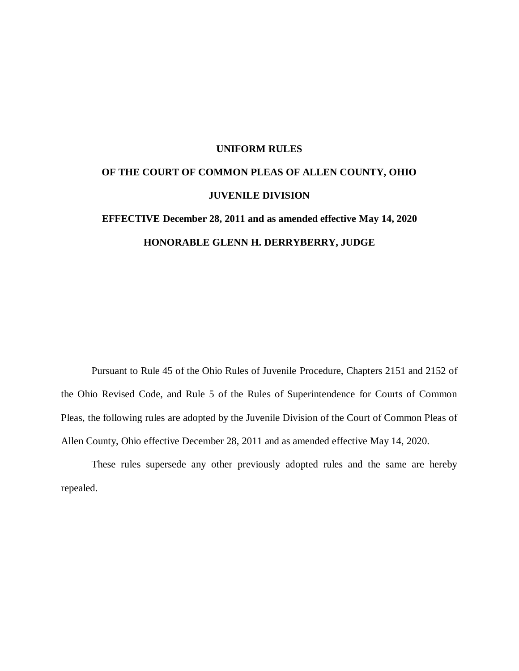#### **UNIFORM RULES**

# **OF THE COURT OF COMMON PLEAS OF ALLEN COUNTY, OHIO JUVENILE DIVISION**

# **EFFECTIVE December 28, 2011 and as amended effective May 14, 2020 HONORABLE GLENN H. DERRYBERRY, JUDGE**

Pursuant to Rule 45 of the Ohio Rules of Juvenile Procedure, Chapters 2151 and 2152 of the Ohio Revised Code, and Rule 5 of the Rules of Superintendence for Courts of Common Pleas, the following rules are adopted by the Juvenile Division of the Court of Common Pleas of Allen County, Ohio effective December 28, 2011 and as amended effective May 14, 2020.

These rules supersede any other previously adopted rules and the same are hereby repealed.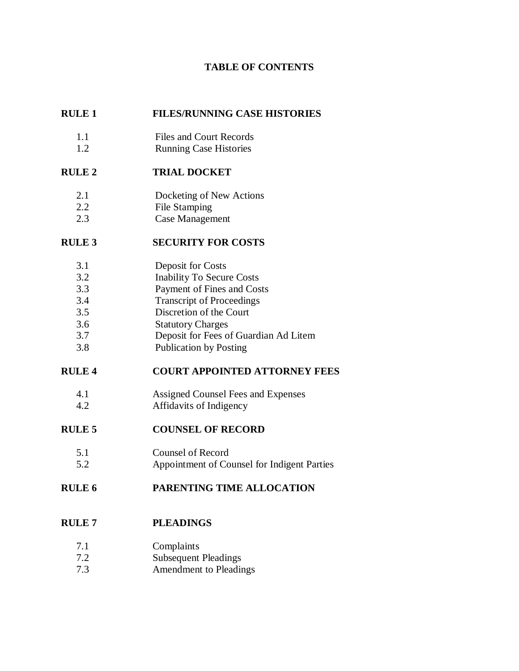## **TABLE OF CONTENTS**

## **RULE 1 FILES/RUNNING CASE HISTORIES**

- 1.1 Files and Court Records
- 1.2 Running Case Histories

# **RULE 2 TRIAL DOCKET**

- 2.1 Docketing of New Actions
- 2.2 File Stamping
- 2.3 Case Management

# **RULE 3 SECURITY FOR COSTS**

- 3.1 Deposit for Costs
- 3.2 Inability To Secure Costs
- 3.3 Payment of Fines and Costs
- 3.4 Transcript of Proceedings
- 3.5 Discretion of the Court
- 3.6 Statutory Charges
- 3.7 Deposit for Fees of Guardian Ad Litem
- 3.8 Publication by Posting

## **RULE 4 COURT APPOINTED ATTORNEY FEES**

- 4.1 Assigned Counsel Fees and Expenses
- 4.2 Affidavits of Indigency

## **RULE 5 COUNSEL OF RECORD**

- 5.1 Counsel of Record
- 5.2 Appointment of Counsel for Indigent Parties

# **RULE 6 PARENTING TIME ALLOCATION**

# **RULE 7 PLEADINGS**

- 7.1 Complaints
- 7.2 Subsequent Pleadings
- 7.3 Amendment to Pleadings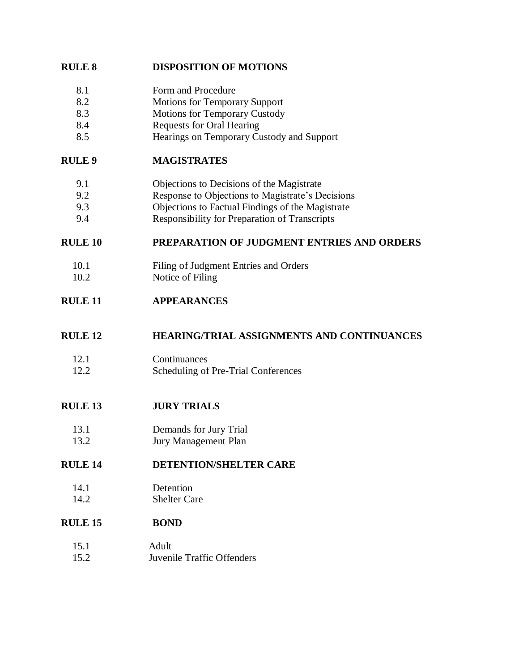## **RULE 8 DISPOSITION OF MOTIONS**

- 8.1 Form and Procedure
- 8.2 Motions for Temporary Support
- 8.3 Motions for Temporary Custody
- 8.4 Requests for Oral Hearing
- 8.5 Hearings on Temporary Custody and Support

## **RULE 9 MAGISTRATES**

- 9.1 Objections to Decisions of the Magistrate
- 9.2 Response to Objections to Magistrate's Decisions
- 9.3 Objections to Factual Findings of the Magistrate
- 9.4 Responsibility for Preparation of Transcripts

## **RULE 10 PREPARATION OF JUDGMENT ENTRIES AND ORDERS**

- 10.1 Filing of Judgment Entries and Orders
- 10.2 Notice of Filing

## **RULE 11 APPEARANCES**

## **RULE 12 HEARING/TRIAL ASSIGNMENTS AND CONTINUANCES**

- 12.1 Continuances 12.2 Scheduling of Pre-Trial Conferences
- **RULE 13 JURY TRIALS**
	- 13.1 Demands for Jury Trial
	- 13.2 Jury Management Plan

## **RULE 14 DETENTION/SHELTER CARE**

14.1 Detention 14.2 Shelter Care

## **RULE 15 BOND**

15.1 Adult 15.2 Juvenile Traffic Offenders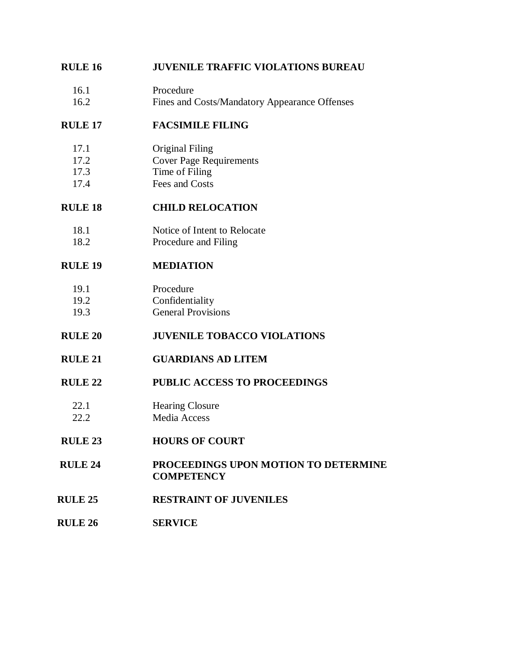## **RULE 16 JUVENILE TRAFFIC VIOLATIONS BUREAU**

16.1 Procedure 16.2 Fines and Costs/Mandatory Appearance Offenses

## **RULE 17 FACSIMILE FILING**

- 17.1 Original Filing
- 17.2 Cover Page Requirements
- 17.3 Time of Filing
- 17.4 Fees and Costs

## **RULE 18 CHILD RELOCATION**

- 18.1 Notice of Intent to Relocate
- 18.2 Procedure and Filing

## **RULE 19 MEDIATION**

## 19.1 Procedure

- 19.2 Confidentiality
- 19.3 General Provisions

## **RULE 20 JUVENILE TOBACCO VIOLATIONS**

**RULE 21 GUARDIANS AD LITEM**

## **RULE 22 PUBLIC ACCESS TO PROCEEDINGS**

- 22.1 Hearing Closure 22.2 Media Access
- **RULE 23 HOURS OF COURT**
- **RULE 24 PROCEEDINGS UPON MOTION TO DETERMINE COMPETENCY**
- **RULE 25 RESTRAINT OF JUVENILES**
- **RULE 26 SERVICE**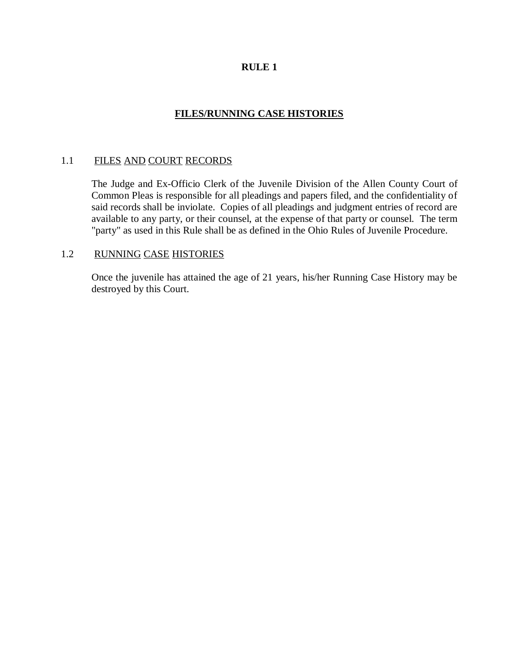## **FILES/RUNNING CASE HISTORIES**

## 1.1 FILES AND COURT RECORDS

The Judge and Ex-Officio Clerk of the Juvenile Division of the Allen County Court of Common Pleas is responsible for all pleadings and papers filed, and the confidentiality of said records shall be inviolate. Copies of all pleadings and judgment entries of record are available to any party, or their counsel, at the expense of that party or counsel. The term "party" as used in this Rule shall be as defined in the Ohio Rules of Juvenile Procedure.

#### 1.2 RUNNING CASE HISTORIES

Once the juvenile has attained the age of 21 years, his/her Running Case History may be destroyed by this Court.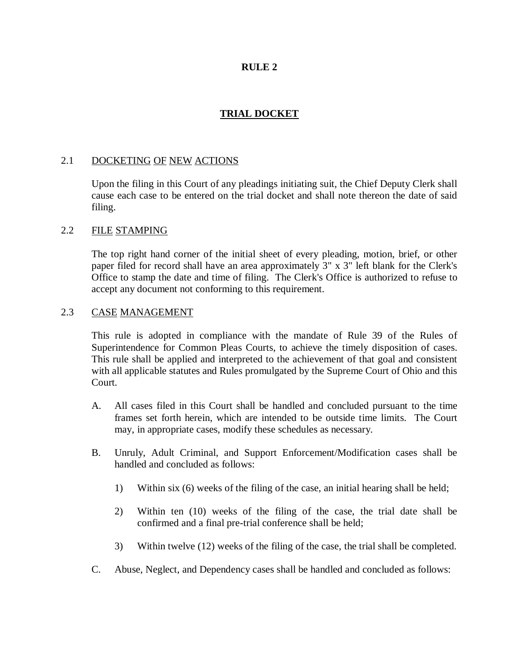## **TRIAL DOCKET**

#### 2.1 DOCKETING OF NEW ACTIONS

Upon the filing in this Court of any pleadings initiating suit, the Chief Deputy Clerk shall cause each case to be entered on the trial docket and shall note thereon the date of said filing.

#### 2.2 FILE STAMPING

The top right hand corner of the initial sheet of every pleading, motion, brief, or other paper filed for record shall have an area approximately 3" x 3" left blank for the Clerk's Office to stamp the date and time of filing. The Clerk's Office is authorized to refuse to accept any document not conforming to this requirement.

#### 2.3 CASE MANAGEMENT

This rule is adopted in compliance with the mandate of Rule 39 of the Rules of Superintendence for Common Pleas Courts, to achieve the timely disposition of cases. This rule shall be applied and interpreted to the achievement of that goal and consistent with all applicable statutes and Rules promulgated by the Supreme Court of Ohio and this Court.

- A. All cases filed in this Court shall be handled and concluded pursuant to the time frames set forth herein, which are intended to be outside time limits. The Court may, in appropriate cases, modify these schedules as necessary.
- B. Unruly, Adult Criminal, and Support Enforcement/Modification cases shall be handled and concluded as follows:
	- 1) Within six (6) weeks of the filing of the case, an initial hearing shall be held;
	- 2) Within ten (10) weeks of the filing of the case, the trial date shall be confirmed and a final pre-trial conference shall be held;
	- 3) Within twelve (12) weeks of the filing of the case, the trial shall be completed.
- C. Abuse, Neglect, and Dependency cases shall be handled and concluded as follows: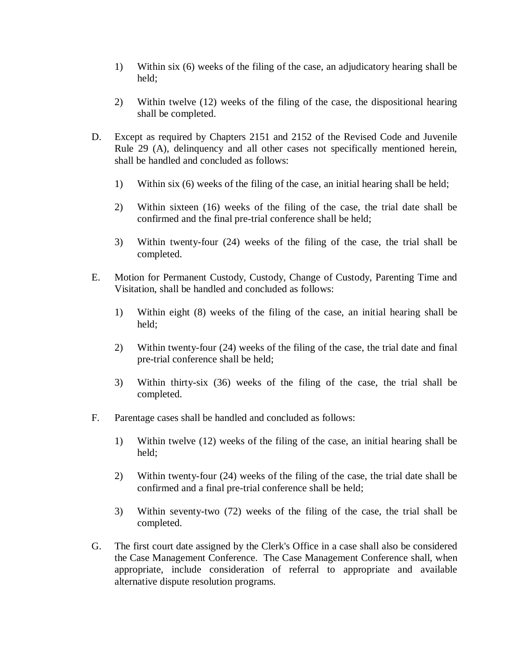- 1) Within six (6) weeks of the filing of the case, an adjudicatory hearing shall be held;
- 2) Within twelve (12) weeks of the filing of the case, the dispositional hearing shall be completed.
- D. Except as required by Chapters 2151 and 2152 of the Revised Code and Juvenile Rule 29 (A), delinquency and all other cases not specifically mentioned herein, shall be handled and concluded as follows:
	- 1) Within six (6) weeks of the filing of the case, an initial hearing shall be held;
	- 2) Within sixteen (16) weeks of the filing of the case, the trial date shall be confirmed and the final pre-trial conference shall be held;
	- 3) Within twenty-four (24) weeks of the filing of the case, the trial shall be completed.
- E. Motion for Permanent Custody, Custody, Change of Custody, Parenting Time and Visitation, shall be handled and concluded as follows:
	- 1) Within eight (8) weeks of the filing of the case, an initial hearing shall be held;
	- 2) Within twenty-four (24) weeks of the filing of the case, the trial date and final pre-trial conference shall be held;
	- 3) Within thirty-six (36) weeks of the filing of the case, the trial shall be completed.
- F. Parentage cases shall be handled and concluded as follows:
	- 1) Within twelve (12) weeks of the filing of the case, an initial hearing shall be held;
	- 2) Within twenty-four (24) weeks of the filing of the case, the trial date shall be confirmed and a final pre-trial conference shall be held;
	- 3) Within seventy-two (72) weeks of the filing of the case, the trial shall be completed.
- G. The first court date assigned by the Clerk's Office in a case shall also be considered the Case Management Conference. The Case Management Conference shall, when appropriate, include consideration of referral to appropriate and available alternative dispute resolution programs.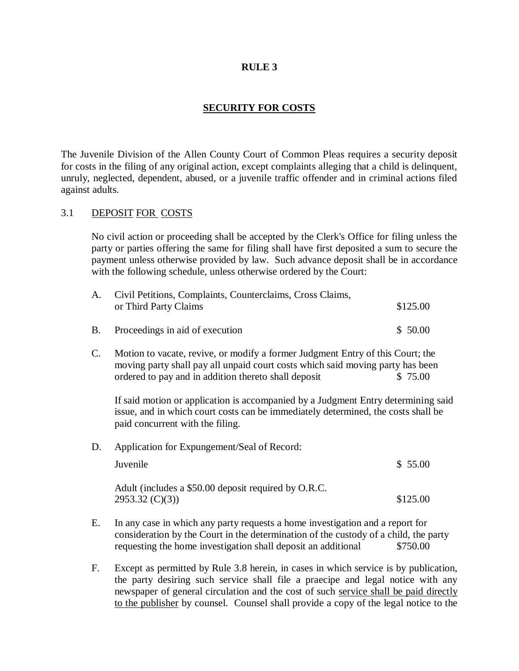## **SECURITY FOR COSTS**

The Juvenile Division of the Allen County Court of Common Pleas requires a security deposit for costs in the filing of any original action, except complaints alleging that a child is delinquent, unruly, neglected, dependent, abused, or a juvenile traffic offender and in criminal actions filed against adults.

#### 3.1 DEPOSIT FOR COSTS

No civil action or proceeding shall be accepted by the Clerk's Office for filing unless the party or parties offering the same for filing shall have first deposited a sum to secure the payment unless otherwise provided by law. Such advance deposit shall be in accordance with the following schedule, unless otherwise ordered by the Court:

| A.             | Civil Petitions, Complaints, Counterclaims, Cross Claims,<br>or Third Party Claims                                                                                                                                       | \$125.00 |
|----------------|--------------------------------------------------------------------------------------------------------------------------------------------------------------------------------------------------------------------------|----------|
| <b>B.</b>      | Proceedings in aid of execution                                                                                                                                                                                          | \$50.00  |
| $\mathbf{C}$ . | Motion to vacate, revive, or modify a former Judgment Entry of this Court; the<br>moving party shall pay all unpaid court costs which said moving party has been<br>ordered to pay and in addition thereto shall deposit | \$75.00  |
|                | If said motion or application is accompanied by a Judgment Entry determining said<br>issue, and in which court costs can be immediately determined, the costs shall be<br>paid concurrent with the filing.               |          |
| D.             | Application for Expungement/Seal of Record:                                                                                                                                                                              |          |
|                | Juvenile                                                                                                                                                                                                                 | \$55.00  |
|                | Adult (includes a \$50.00 deposit required by O.R.C.<br>2953.32 (C)(3)                                                                                                                                                   | \$125.00 |
| Е.             | In any case in which any party requests a home investigation and a report for                                                                                                                                            |          |

- E. In any case in which any party requests a home investigation and a report for consideration by the Court in the determination of the custody of a child, the party requesting the home investigation shall deposit an additional \$750.00
- F. Except as permitted by Rule 3.8 herein, in cases in which service is by publication, the party desiring such service shall file a praecipe and legal notice with any newspaper of general circulation and the cost of such service shall be paid directly to the publisher by counsel. Counsel shall provide a copy of the legal notice to the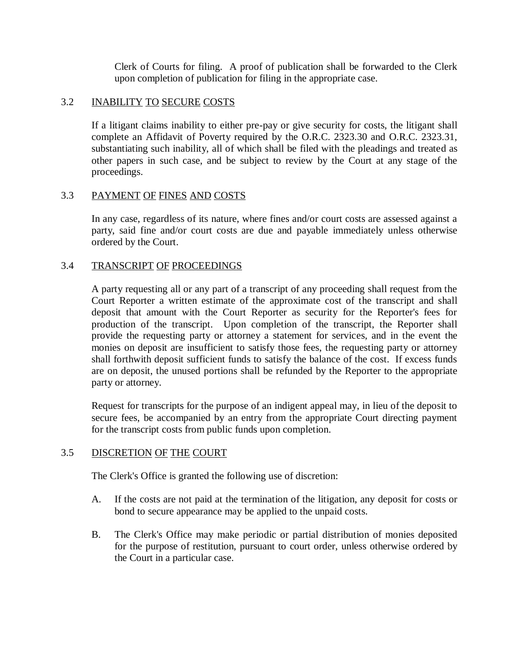Clerk of Courts for filing. A proof of publication shall be forwarded to the Clerk upon completion of publication for filing in the appropriate case.

#### 3.2 INABILITY TO SECURE COSTS

If a litigant claims inability to either pre-pay or give security for costs, the litigant shall complete an Affidavit of Poverty required by the O.R.C. 2323.30 and O.R.C. 2323.31, substantiating such inability, all of which shall be filed with the pleadings and treated as other papers in such case, and be subject to review by the Court at any stage of the proceedings.

## 3.3 PAYMENT OF FINES AND COSTS

In any case, regardless of its nature, where fines and/or court costs are assessed against a party, said fine and/or court costs are due and payable immediately unless otherwise ordered by the Court.

## 3.4 TRANSCRIPT OF PROCEEDINGS

A party requesting all or any part of a transcript of any proceeding shall request from the Court Reporter a written estimate of the approximate cost of the transcript and shall deposit that amount with the Court Reporter as security for the Reporter's fees for production of the transcript. Upon completion of the transcript, the Reporter shall provide the requesting party or attorney a statement for services, and in the event the monies on deposit are insufficient to satisfy those fees, the requesting party or attorney shall forthwith deposit sufficient funds to satisfy the balance of the cost. If excess funds are on deposit, the unused portions shall be refunded by the Reporter to the appropriate party or attorney.

Request for transcripts for the purpose of an indigent appeal may, in lieu of the deposit to secure fees, be accompanied by an entry from the appropriate Court directing payment for the transcript costs from public funds upon completion.

#### 3.5 DISCRETION OF THE COURT

The Clerk's Office is granted the following use of discretion:

- A. If the costs are not paid at the termination of the litigation, any deposit for costs or bond to secure appearance may be applied to the unpaid costs.
- B. The Clerk's Office may make periodic or partial distribution of monies deposited for the purpose of restitution, pursuant to court order, unless otherwise ordered by the Court in a particular case.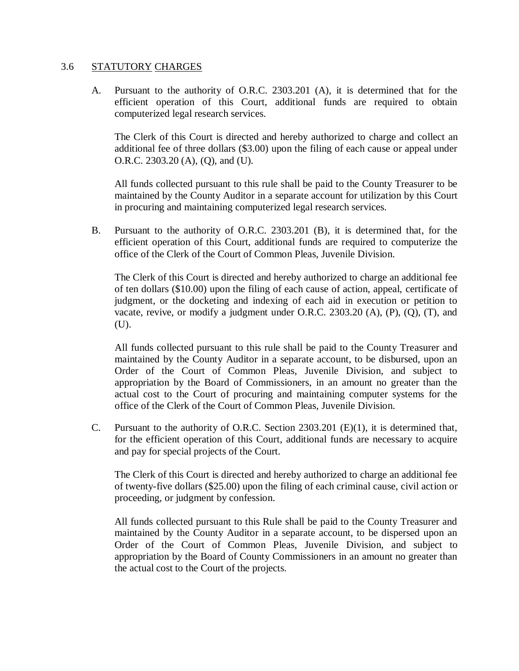#### 3.6 STATUTORY CHARGES

A. Pursuant to the authority of O.R.C. 2303.201 (A), it is determined that for the efficient operation of this Court, additional funds are required to obtain computerized legal research services.

The Clerk of this Court is directed and hereby authorized to charge and collect an additional fee of three dollars (\$3.00) upon the filing of each cause or appeal under O.R.C. 2303.20 (A), (Q), and (U).

All funds collected pursuant to this rule shall be paid to the County Treasurer to be maintained by the County Auditor in a separate account for utilization by this Court in procuring and maintaining computerized legal research services.

B. Pursuant to the authority of O.R.C. 2303.201 (B), it is determined that, for the efficient operation of this Court, additional funds are required to computerize the office of the Clerk of the Court of Common Pleas, Juvenile Division.

The Clerk of this Court is directed and hereby authorized to charge an additional fee of ten dollars (\$10.00) upon the filing of each cause of action, appeal, certificate of judgment, or the docketing and indexing of each aid in execution or petition to vacate, revive, or modify a judgment under O.R.C. 2303.20 (A), (P), (Q), (T), and (U).

All funds collected pursuant to this rule shall be paid to the County Treasurer and maintained by the County Auditor in a separate account, to be disbursed, upon an Order of the Court of Common Pleas, Juvenile Division, and subject to appropriation by the Board of Commissioners, in an amount no greater than the actual cost to the Court of procuring and maintaining computer systems for the office of the Clerk of the Court of Common Pleas, Juvenile Division.

C. Pursuant to the authority of O.R.C. Section  $2303.201$  (E)(1), it is determined that, for the efficient operation of this Court, additional funds are necessary to acquire and pay for special projects of the Court.

The Clerk of this Court is directed and hereby authorized to charge an additional fee of twenty-five dollars (\$25.00) upon the filing of each criminal cause, civil action or proceeding, or judgment by confession.

All funds collected pursuant to this Rule shall be paid to the County Treasurer and maintained by the County Auditor in a separate account, to be dispersed upon an Order of the Court of Common Pleas, Juvenile Division, and subject to appropriation by the Board of County Commissioners in an amount no greater than the actual cost to the Court of the projects.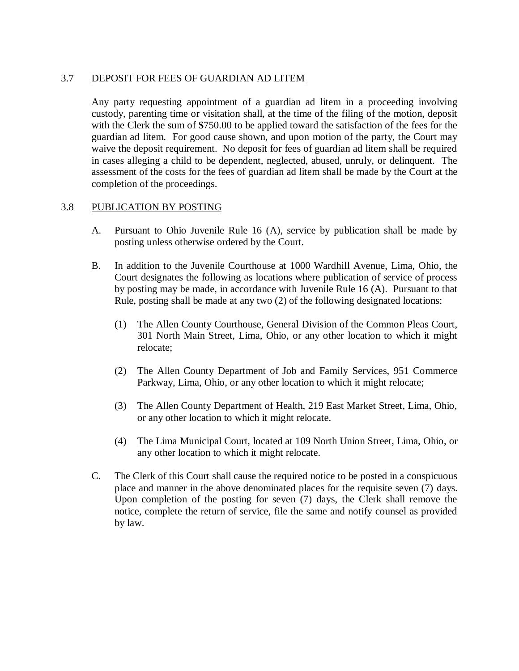## 3.7 DEPOSIT FOR FEES OF GUARDIAN AD LITEM

Any party requesting appointment of a guardian ad litem in a proceeding involving custody, parenting time or visitation shall, at the time of the filing of the motion, deposit with the Clerk the sum of **\$**750.00 to be applied toward the satisfaction of the fees for the guardian ad litem. For good cause shown, and upon motion of the party, the Court may waive the deposit requirement. No deposit for fees of guardian ad litem shall be required in cases alleging a child to be dependent, neglected, abused, unruly, or delinquent. The assessment of the costs for the fees of guardian ad litem shall be made by the Court at the completion of the proceedings.

## 3.8 PUBLICATION BY POSTING

- A. Pursuant to Ohio Juvenile Rule 16 (A), service by publication shall be made by posting unless otherwise ordered by the Court.
- B. In addition to the Juvenile Courthouse at 1000 Wardhill Avenue, Lima, Ohio, the Court designates the following as locations where publication of service of process by posting may be made, in accordance with Juvenile Rule 16 (A). Pursuant to that Rule, posting shall be made at any two (2) of the following designated locations:
	- (1) The Allen County Courthouse, General Division of the Common Pleas Court, 301 North Main Street, Lima, Ohio, or any other location to which it might relocate;
	- (2) The Allen County Department of Job and Family Services, 951 Commerce Parkway, Lima, Ohio, or any other location to which it might relocate;
	- (3) The Allen County Department of Health, 219 East Market Street, Lima, Ohio, or any other location to which it might relocate.
	- (4) The Lima Municipal Court, located at 109 North Union Street, Lima, Ohio, or any other location to which it might relocate.
- C. The Clerk of this Court shall cause the required notice to be posted in a conspicuous place and manner in the above denominated places for the requisite seven (7) days. Upon completion of the posting for seven (7) days, the Clerk shall remove the notice, complete the return of service, file the same and notify counsel as provided by law.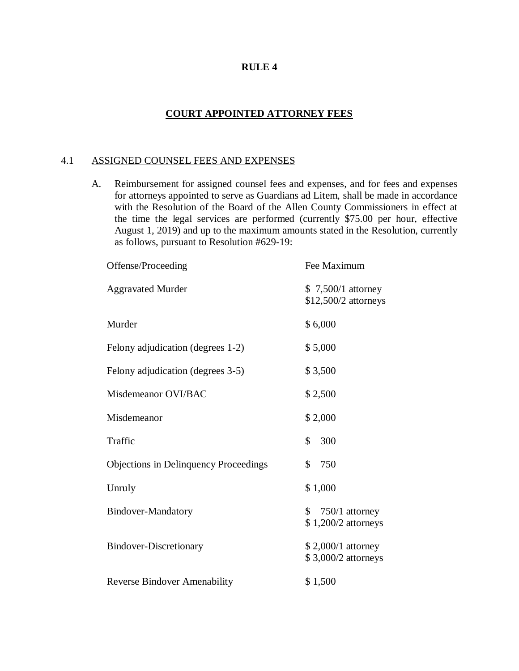## **COURT APPOINTED ATTORNEY FEES**

#### 4.1 ASSIGNED COUNSEL FEES AND EXPENSES

A. Reimbursement for assigned counsel fees and expenses, and for fees and expenses for attorneys appointed to serve as Guardians ad Litem, shall be made in accordance with the Resolution of the Board of the Allen County Commissioners in effect at the time the legal services are performed (currently \$75.00 per hour, effective August 1, 2019) and up to the maximum amounts stated in the Resolution, currently as follows, pursuant to Resolution #629-19:

| Offense/Proceeding                           | Fee Maximum                                    |  |
|----------------------------------------------|------------------------------------------------|--|
| <b>Aggravated Murder</b>                     | $$7,500/1$ attorney<br>\$12,500/2 attorneys    |  |
| Murder                                       | \$6,000                                        |  |
| Felony adjudication (degrees 1-2)            | \$5,000                                        |  |
| Felony adjudication (degrees 3-5)            | \$3,500                                        |  |
| Misdemeanor OVI/BAC                          | \$2,500                                        |  |
| Misdemeanor                                  | \$2,000                                        |  |
| Traffic                                      | \$<br>300                                      |  |
| <b>Objections in Delinquency Proceedings</b> | \$<br>750                                      |  |
| Unruly                                       | \$1,000                                        |  |
| <b>Bindover-Mandatory</b>                    | $750/1$ attorney<br>S.<br>$$1,200/2$ attorneys |  |
| <b>Bindover-Discretionary</b>                | $$2,000/1$ attorney<br>\$3,000/2 attorneys     |  |
| <b>Reverse Bindover Amenability</b>          | \$1,500                                        |  |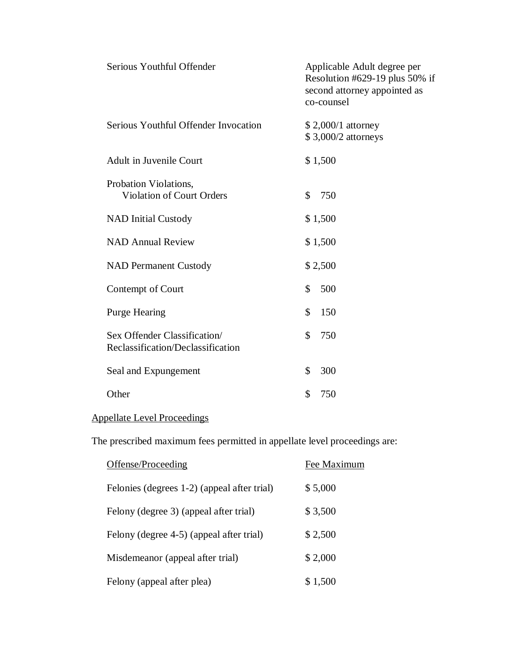| Serious Youthful Offender                                         | Applicable Adult degree per<br>Resolution #629-19 plus 50% if<br>second attorney appointed as<br>co-counsel |
|-------------------------------------------------------------------|-------------------------------------------------------------------------------------------------------------|
| Serious Youthful Offender Invocation                              | \$2,000/1 attorney<br>\$3,000/2 attorneys                                                                   |
| <b>Adult in Juvenile Court</b>                                    | \$1,500                                                                                                     |
| Probation Violations,<br><b>Violation of Court Orders</b>         | \$<br>750                                                                                                   |
| <b>NAD Initial Custody</b>                                        | \$1,500                                                                                                     |
| <b>NAD Annual Review</b>                                          | \$1,500                                                                                                     |
| <b>NAD Permanent Custody</b>                                      | \$2,500                                                                                                     |
| Contempt of Court                                                 | $\mathcal{S}$<br>500                                                                                        |
| <b>Purge Hearing</b>                                              | \$<br>150                                                                                                   |
| Sex Offender Classification/<br>Reclassification/Declassification | \$<br>750                                                                                                   |
| Seal and Expungement                                              | \$<br>300                                                                                                   |
| Other                                                             | \$<br>750                                                                                                   |
|                                                                   |                                                                                                             |

# Appellate Level Proceedings

The prescribed maximum fees permitted in appellate level proceedings are:

| Offense/Proceeding                          | Fee Maximum |
|---------------------------------------------|-------------|
| Felonies (degrees 1-2) (appeal after trial) | \$5,000     |
| Felony (degree 3) (appeal after trial)      | \$3,500     |
| Felony (degree 4-5) (appeal after trial)    | \$2,500     |
| Misdemeanor (appeal after trial)            | \$2,000     |
| Felony (appeal after plea)                  | \$1,500     |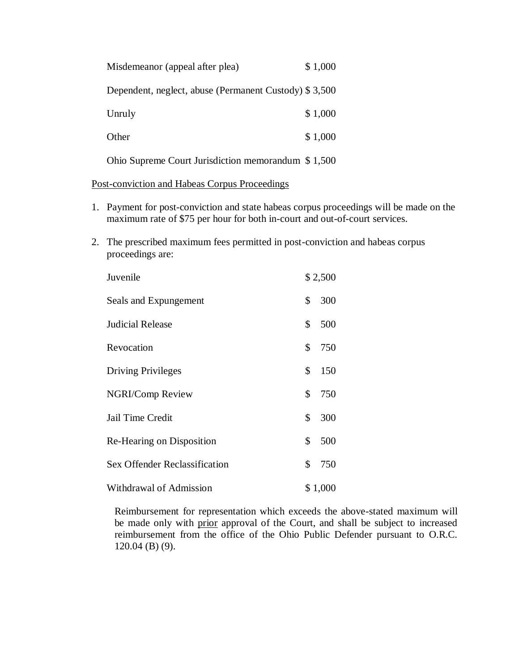| Misdemeanor (appeal after plea)                       | \$1,000 |
|-------------------------------------------------------|---------|
| Dependent, neglect, abuse (Permanent Custody) \$3,500 |         |
| Unruly                                                | \$1,000 |
| Other                                                 | \$1,000 |
| Ohio Supreme Court Jurisdiction memorandum \$1,500    |         |

Post-conviction and Habeas Corpus Proceedings

- 1. Payment for post-conviction and state habeas corpus proceedings will be made on the maximum rate of \$75 per hour for both in-court and out-of-court services.
- 2. The prescribed maximum fees permitted in post-conviction and habeas corpus proceedings are:

| Juvenile                      |    | \$2,500 |  |
|-------------------------------|----|---------|--|
| Seals and Expungement         | \$ | 300     |  |
| <b>Judicial Release</b>       | \$ | 500     |  |
| Revocation                    | \$ | 750     |  |
| <b>Driving Privileges</b>     | \$ | 150     |  |
| NGRI/Comp Review              | \$ | 750     |  |
| Jail Time Credit              | \$ | 300     |  |
| Re-Hearing on Disposition     | \$ | 500     |  |
| Sex Offender Reclassification | \$ | 750     |  |
| Withdrawal of Admission       |    | \$1,000 |  |

Reimbursement for representation which exceeds the above-stated maximum will be made only with prior approval of the Court, and shall be subject to increased reimbursement from the office of the Ohio Public Defender pursuant to O.R.C. 120.04 (B) (9).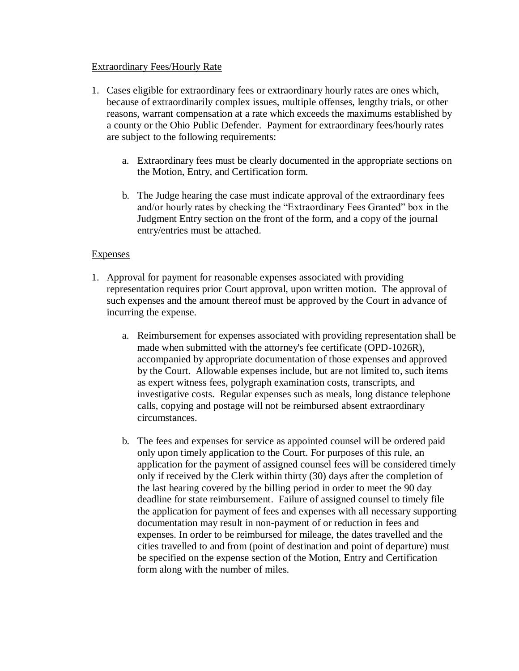#### Extraordinary Fees/Hourly Rate

- 1. Cases eligible for extraordinary fees or extraordinary hourly rates are ones which, because of extraordinarily complex issues, multiple offenses, lengthy trials, or other reasons, warrant compensation at a rate which exceeds the maximums established by a county or the Ohio Public Defender. Payment for extraordinary fees/hourly rates are subject to the following requirements:
	- a. Extraordinary fees must be clearly documented in the appropriate sections on the Motion, Entry, and Certification form.
	- b. The Judge hearing the case must indicate approval of the extraordinary fees and/or hourly rates by checking the "Extraordinary Fees Granted" box in the Judgment Entry section on the front of the form, and a copy of the journal entry/entries must be attached.

#### **Expenses**

- 1. Approval for payment for reasonable expenses associated with providing representation requires prior Court approval, upon written motion. The approval of such expenses and the amount thereof must be approved by the Court in advance of incurring the expense.
	- a. Reimbursement for expenses associated with providing representation shall be made when submitted with the attorney's fee certificate (OPD-1026R), accompanied by appropriate documentation of those expenses and approved by the Court. Allowable expenses include, but are not limited to, such items as expert witness fees, polygraph examination costs, transcripts, and investigative costs. Regular expenses such as meals, long distance telephone calls, copying and postage will not be reimbursed absent extraordinary circumstances.
	- b. The fees and expenses for service as appointed counsel will be ordered paid only upon timely application to the Court. For purposes of this rule, an application for the payment of assigned counsel fees will be considered timely only if received by the Clerk within thirty (30) days after the completion of the last hearing covered by the billing period in order to meet the 90 day deadline for state reimbursement. Failure of assigned counsel to timely file the application for payment of fees and expenses with all necessary supporting documentation may result in non-payment of or reduction in fees and expenses. In order to be reimbursed for mileage, the dates travelled and the cities travelled to and from (point of destination and point of departure) must be specified on the expense section of the Motion, Entry and Certification form along with the number of miles.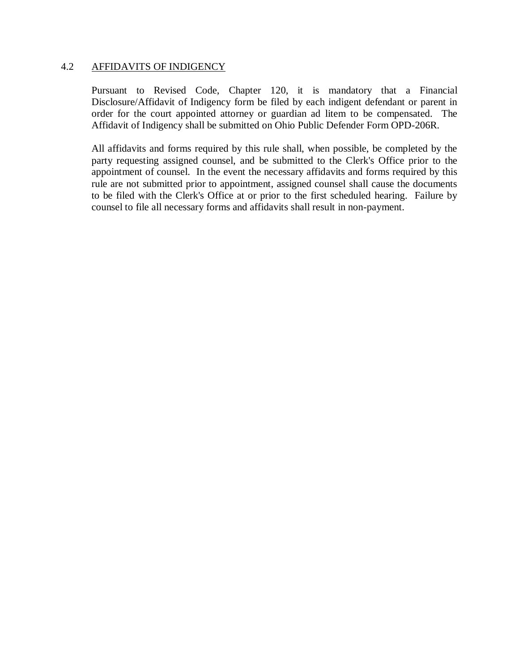#### 4.2 AFFIDAVITS OF INDIGENCY

Pursuant to Revised Code, Chapter 120, it is mandatory that a Financial Disclosure/Affidavit of Indigency form be filed by each indigent defendant or parent in order for the court appointed attorney or guardian ad litem to be compensated. The Affidavit of Indigency shall be submitted on Ohio Public Defender Form OPD-206R.

All affidavits and forms required by this rule shall, when possible, be completed by the party requesting assigned counsel, and be submitted to the Clerk's Office prior to the appointment of counsel. In the event the necessary affidavits and forms required by this rule are not submitted prior to appointment, assigned counsel shall cause the documents to be filed with the Clerk's Office at or prior to the first scheduled hearing. Failure by counsel to file all necessary forms and affidavits shall result in non-payment.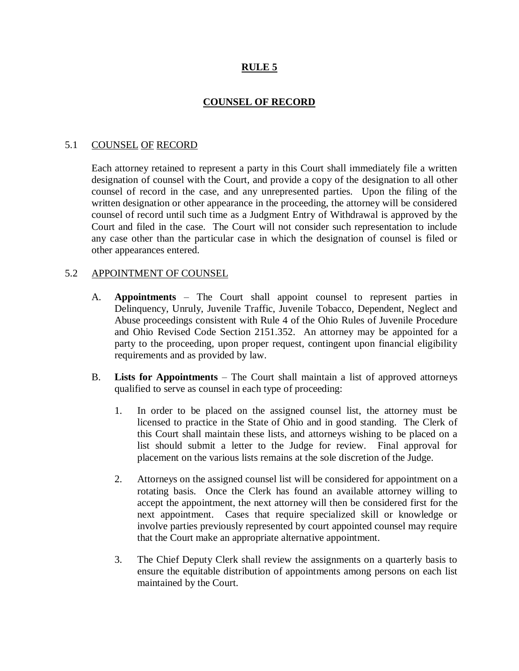## **COUNSEL OF RECORD**

#### 5.1 COUNSEL OF RECORD

Each attorney retained to represent a party in this Court shall immediately file a written designation of counsel with the Court, and provide a copy of the designation to all other counsel of record in the case, and any unrepresented parties. Upon the filing of the written designation or other appearance in the proceeding, the attorney will be considered counsel of record until such time as a Judgment Entry of Withdrawal is approved by the Court and filed in the case. The Court will not consider such representation to include any case other than the particular case in which the designation of counsel is filed or other appearances entered.

#### 5.2 APPOINTMENT OF COUNSEL

- A. **Appointments**  The Court shall appoint counsel to represent parties in Delinquency, Unruly, Juvenile Traffic, Juvenile Tobacco, Dependent, Neglect and Abuse proceedings consistent with Rule 4 of the Ohio Rules of Juvenile Procedure and Ohio Revised Code Section 2151.352. An attorney may be appointed for a party to the proceeding, upon proper request, contingent upon financial eligibility requirements and as provided by law.
- B. **Lists for Appointments** The Court shall maintain a list of approved attorneys qualified to serve as counsel in each type of proceeding:
	- 1. In order to be placed on the assigned counsel list, the attorney must be licensed to practice in the State of Ohio and in good standing. The Clerk of this Court shall maintain these lists, and attorneys wishing to be placed on a list should submit a letter to the Judge for review. Final approval for placement on the various lists remains at the sole discretion of the Judge.
	- 2. Attorneys on the assigned counsel list will be considered for appointment on a rotating basis. Once the Clerk has found an available attorney willing to accept the appointment, the next attorney will then be considered first for the next appointment. Cases that require specialized skill or knowledge or involve parties previously represented by court appointed counsel may require that the Court make an appropriate alternative appointment.
	- 3. The Chief Deputy Clerk shall review the assignments on a quarterly basis to ensure the equitable distribution of appointments among persons on each list maintained by the Court.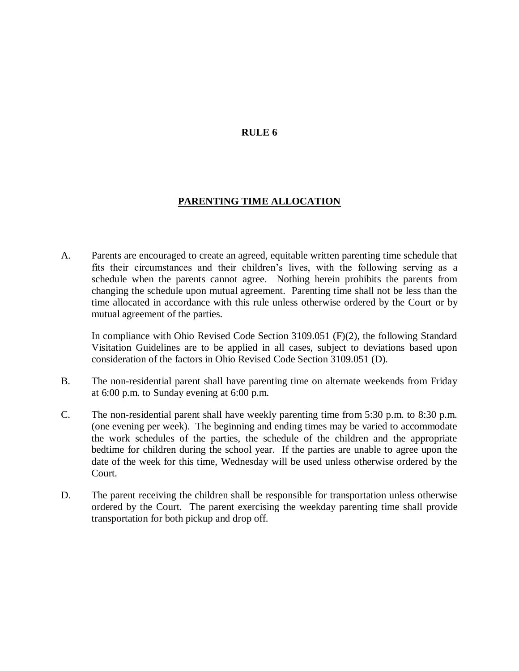#### **PARENTING TIME ALLOCATION**

A. Parents are encouraged to create an agreed, equitable written parenting time schedule that fits their circumstances and their children's lives, with the following serving as a schedule when the parents cannot agree. Nothing herein prohibits the parents from changing the schedule upon mutual agreement. Parenting time shall not be less than the time allocated in accordance with this rule unless otherwise ordered by the Court or by mutual agreement of the parties.

In compliance with Ohio Revised Code Section 3109.051 (F)(2), the following Standard Visitation Guidelines are to be applied in all cases, subject to deviations based upon consideration of the factors in Ohio Revised Code Section 3109.051 (D).

- B. The non-residential parent shall have parenting time on alternate weekends from Friday at 6:00 p.m. to Sunday evening at 6:00 p.m.
- C. The non-residential parent shall have weekly parenting time from 5:30 p.m. to 8:30 p.m. (one evening per week). The beginning and ending times may be varied to accommodate the work schedules of the parties, the schedule of the children and the appropriate bedtime for children during the school year. If the parties are unable to agree upon the date of the week for this time, Wednesday will be used unless otherwise ordered by the Court.
- D. The parent receiving the children shall be responsible for transportation unless otherwise ordered by the Court. The parent exercising the weekday parenting time shall provide transportation for both pickup and drop off.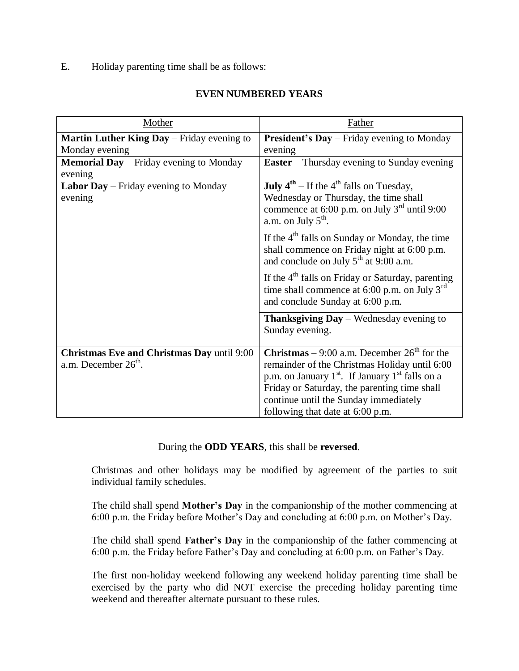E. Holiday parenting time shall be as follows:

## **EVEN NUMBERED YEARS**

| Mother                                                                      | Father                                                                                                                                                                                                                                                                                       |  |
|-----------------------------------------------------------------------------|----------------------------------------------------------------------------------------------------------------------------------------------------------------------------------------------------------------------------------------------------------------------------------------------|--|
| Martin Luther King Day - Friday evening to                                  | <b>President's Day</b> – Friday evening to Monday                                                                                                                                                                                                                                            |  |
| Monday evening                                                              | evening                                                                                                                                                                                                                                                                                      |  |
| <b>Memorial Day</b> – Friday evening to Monday                              | <b>Easter</b> – Thursday evening to Sunday evening                                                                                                                                                                                                                                           |  |
| evening                                                                     |                                                                                                                                                                                                                                                                                              |  |
| Labor Day – Friday evening to Monday                                        | <b>July</b> $4^{th}$ – If the $4^{th}$ falls on Tuesday,                                                                                                                                                                                                                                     |  |
| evening                                                                     | Wednesday or Thursday, the time shall<br>commence at 6:00 p.m. on July $3^{rd}$ until 9:00<br>a.m. on July $5^{\text{th}}$ .                                                                                                                                                                 |  |
|                                                                             | If the $4th$ falls on Sunday or Monday, the time<br>shall commence on Friday night at 6:00 p.m.<br>and conclude on July $5^{th}$ at 9:00 a.m.                                                                                                                                                |  |
|                                                                             | If the $4th$ falls on Friday or Saturday, parenting<br>time shall commence at 6:00 p.m. on July $3^{rd}$<br>and conclude Sunday at 6:00 p.m.                                                                                                                                                 |  |
|                                                                             | <b>Thanksgiving Day</b> – Wednesday evening to<br>Sunday evening.                                                                                                                                                                                                                            |  |
| <b>Christmas Eve and Christmas Day until 9:00</b><br>a.m. December $26th$ . | <b>Christmas</b> – 9:00 a.m. December $26^{th}$ for the<br>remainder of the Christmas Holiday until 6:00<br>p.m. on January $1st$ . If January $1st$ falls on a<br>Friday or Saturday, the parenting time shall<br>continue until the Sunday immediately<br>following that date at 6:00 p.m. |  |

#### During the **ODD YEARS**, this shall be **reversed**.

Christmas and other holidays may be modified by agreement of the parties to suit individual family schedules.

The child shall spend **Mother's Day** in the companionship of the mother commencing at 6:00 p.m. the Friday before Mother's Day and concluding at 6:00 p.m. on Mother's Day.

The child shall spend **Father's Day** in the companionship of the father commencing at 6:00 p.m. the Friday before Father's Day and concluding at 6:00 p.m. on Father's Day.

The first non-holiday weekend following any weekend holiday parenting time shall be exercised by the party who did NOT exercise the preceding holiday parenting time weekend and thereafter alternate pursuant to these rules.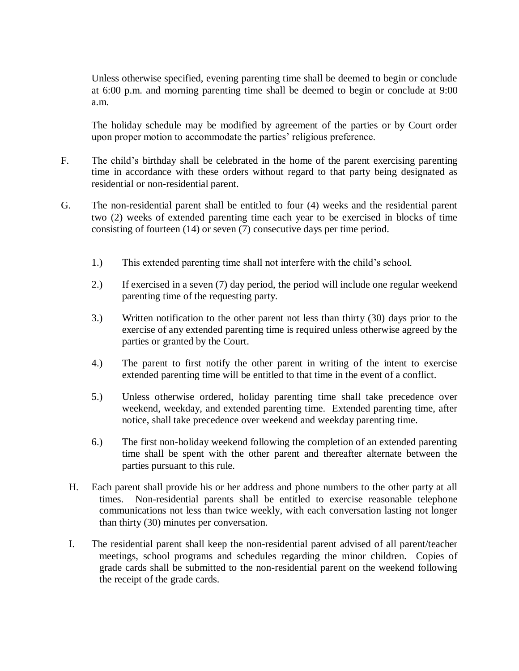Unless otherwise specified, evening parenting time shall be deemed to begin or conclude at 6:00 p.m. and morning parenting time shall be deemed to begin or conclude at 9:00 a.m.

The holiday schedule may be modified by agreement of the parties or by Court order upon proper motion to accommodate the parties' religious preference.

- F. The child's birthday shall be celebrated in the home of the parent exercising parenting time in accordance with these orders without regard to that party being designated as residential or non-residential parent.
- G. The non-residential parent shall be entitled to four (4) weeks and the residential parent two (2) weeks of extended parenting time each year to be exercised in blocks of time consisting of fourteen (14) or seven (7) consecutive days per time period.
	- 1.) This extended parenting time shall not interfere with the child's school.
	- 2.) If exercised in a seven (7) day period, the period will include one regular weekend parenting time of the requesting party.
	- 3.) Written notification to the other parent not less than thirty (30) days prior to the exercise of any extended parenting time is required unless otherwise agreed by the parties or granted by the Court.
	- 4.) The parent to first notify the other parent in writing of the intent to exercise extended parenting time will be entitled to that time in the event of a conflict.
	- 5.) Unless otherwise ordered, holiday parenting time shall take precedence over weekend, weekday, and extended parenting time. Extended parenting time, after notice, shall take precedence over weekend and weekday parenting time.
	- 6.) The first non-holiday weekend following the completion of an extended parenting time shall be spent with the other parent and thereafter alternate between the parties pursuant to this rule.
	- H. Each parent shall provide his or her address and phone numbers to the other party at all times. Non-residential parents shall be entitled to exercise reasonable telephone communications not less than twice weekly, with each conversation lasting not longer than thirty (30) minutes per conversation.
	- I. The residential parent shall keep the non-residential parent advised of all parent/teacher meetings, school programs and schedules regarding the minor children. Copies of grade cards shall be submitted to the non-residential parent on the weekend following the receipt of the grade cards.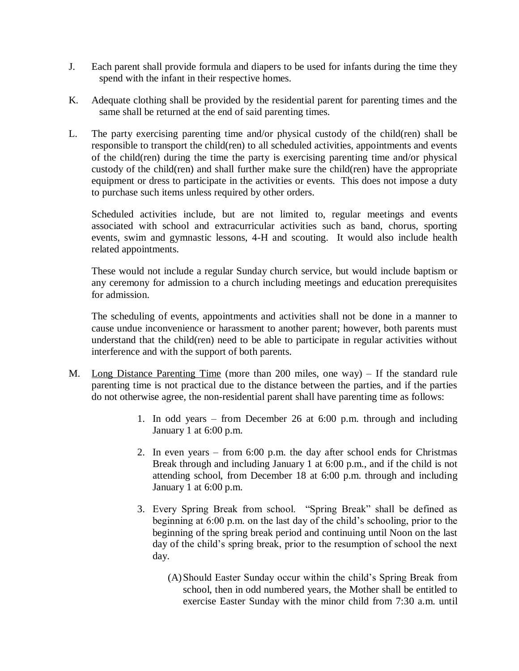- J. Each parent shall provide formula and diapers to be used for infants during the time they spend with the infant in their respective homes.
- K. Adequate clothing shall be provided by the residential parent for parenting times and the same shall be returned at the end of said parenting times.
- L. The party exercising parenting time and/or physical custody of the child(ren) shall be responsible to transport the child(ren) to all scheduled activities, appointments and events of the child(ren) during the time the party is exercising parenting time and/or physical custody of the child(ren) and shall further make sure the child(ren) have the appropriate equipment or dress to participate in the activities or events. This does not impose a duty to purchase such items unless required by other orders.

Scheduled activities include, but are not limited to, regular meetings and events associated with school and extracurricular activities such as band, chorus, sporting events, swim and gymnastic lessons, 4-H and scouting. It would also include health related appointments.

These would not include a regular Sunday church service, but would include baptism or any ceremony for admission to a church including meetings and education prerequisites for admission.

The scheduling of events, appointments and activities shall not be done in a manner to cause undue inconvenience or harassment to another parent; however, both parents must understand that the child(ren) need to be able to participate in regular activities without interference and with the support of both parents.

- M. Long Distance Parenting Time (more than 200 miles, one way) If the standard rule parenting time is not practical due to the distance between the parties, and if the parties do not otherwise agree, the non-residential parent shall have parenting time as follows:
	- 1. In odd years from December 26 at 6:00 p.m. through and including January 1 at 6:00 p.m.
	- 2. In even years from 6:00 p.m. the day after school ends for Christmas Break through and including January 1 at 6:00 p.m., and if the child is not attending school, from December 18 at 6:00 p.m. through and including January 1 at 6:00 p.m.
	- 3. Every Spring Break from school. "Spring Break" shall be defined as beginning at 6:00 p.m. on the last day of the child's schooling, prior to the beginning of the spring break period and continuing until Noon on the last day of the child's spring break, prior to the resumption of school the next day.
		- (A)Should Easter Sunday occur within the child's Spring Break from school, then in odd numbered years, the Mother shall be entitled to exercise Easter Sunday with the minor child from 7:30 a.m. until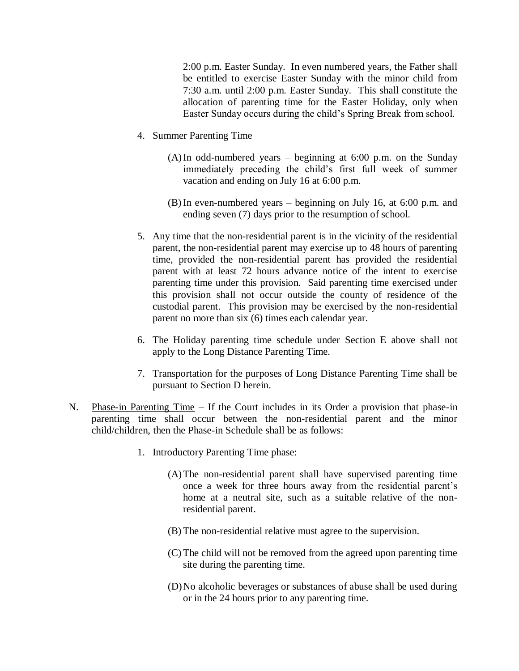2:00 p.m. Easter Sunday. In even numbered years, the Father shall be entitled to exercise Easter Sunday with the minor child from 7:30 a.m. until 2:00 p.m. Easter Sunday. This shall constitute the allocation of parenting time for the Easter Holiday, only when Easter Sunday occurs during the child's Spring Break from school.

- 4. Summer Parenting Time
	- (A)In odd-numbered years beginning at 6:00 p.m. on the Sunday immediately preceding the child's first full week of summer vacation and ending on July 16 at 6:00 p.m.
	- (B) In even-numbered years beginning on July 16, at 6:00 p.m. and ending seven (7) days prior to the resumption of school.
- 5. Any time that the non-residential parent is in the vicinity of the residential parent, the non-residential parent may exercise up to 48 hours of parenting time, provided the non-residential parent has provided the residential parent with at least 72 hours advance notice of the intent to exercise parenting time under this provision. Said parenting time exercised under this provision shall not occur outside the county of residence of the custodial parent. This provision may be exercised by the non-residential parent no more than six (6) times each calendar year.
- 6. The Holiday parenting time schedule under Section E above shall not apply to the Long Distance Parenting Time.
- 7. Transportation for the purposes of Long Distance Parenting Time shall be pursuant to Section D herein.
- N. Phase-in Parenting Time If the Court includes in its Order a provision that phase-in parenting time shall occur between the non-residential parent and the minor child/children, then the Phase-in Schedule shall be as follows:
	- 1. Introductory Parenting Time phase:
		- (A)The non-residential parent shall have supervised parenting time once a week for three hours away from the residential parent's home at a neutral site, such as a suitable relative of the nonresidential parent.
		- (B) The non-residential relative must agree to the supervision.
		- (C) The child will not be removed from the agreed upon parenting time site during the parenting time.
		- (D)No alcoholic beverages or substances of abuse shall be used during or in the 24 hours prior to any parenting time.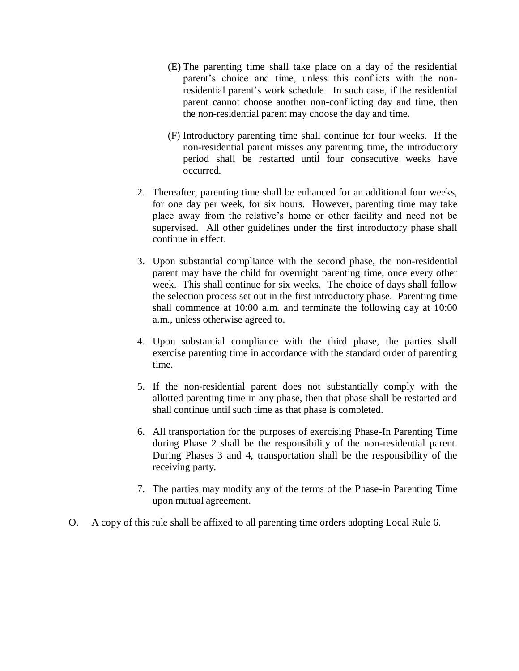- (E) The parenting time shall take place on a day of the residential parent's choice and time, unless this conflicts with the nonresidential parent's work schedule. In such case, if the residential parent cannot choose another non-conflicting day and time, then the non-residential parent may choose the day and time.
- (F) Introductory parenting time shall continue for four weeks. If the non-residential parent misses any parenting time, the introductory period shall be restarted until four consecutive weeks have occurred.
- 2. Thereafter, parenting time shall be enhanced for an additional four weeks, for one day per week, for six hours. However, parenting time may take place away from the relative's home or other facility and need not be supervised. All other guidelines under the first introductory phase shall continue in effect.
- 3. Upon substantial compliance with the second phase, the non-residential parent may have the child for overnight parenting time, once every other week. This shall continue for six weeks. The choice of days shall follow the selection process set out in the first introductory phase. Parenting time shall commence at 10:00 a.m. and terminate the following day at 10:00 a.m., unless otherwise agreed to.
- 4. Upon substantial compliance with the third phase, the parties shall exercise parenting time in accordance with the standard order of parenting time.
- 5. If the non-residential parent does not substantially comply with the allotted parenting time in any phase, then that phase shall be restarted and shall continue until such time as that phase is completed.
- 6. All transportation for the purposes of exercising Phase-In Parenting Time during Phase 2 shall be the responsibility of the non-residential parent. During Phases 3 and 4, transportation shall be the responsibility of the receiving party.
- 7. The parties may modify any of the terms of the Phase-in Parenting Time upon mutual agreement.
- O. A copy of this rule shall be affixed to all parenting time orders adopting Local Rule 6.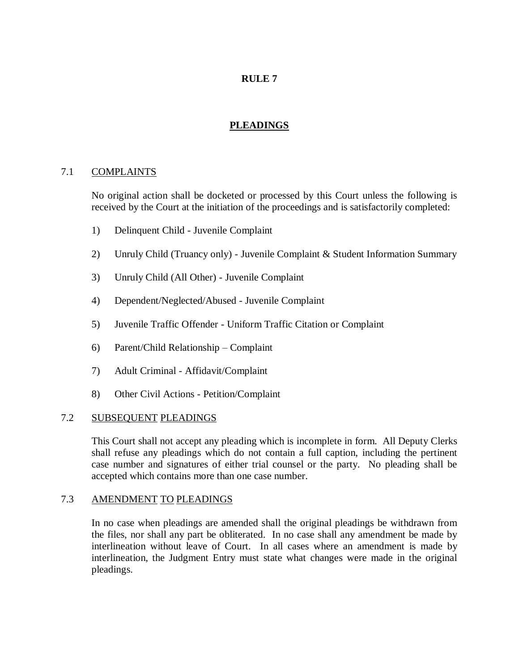## **PLEADINGS**

## 7.1 COMPLAINTS

No original action shall be docketed or processed by this Court unless the following is received by the Court at the initiation of the proceedings and is satisfactorily completed:

- 1) Delinquent Child Juvenile Complaint
- 2) Unruly Child (Truancy only) Juvenile Complaint & Student Information Summary
- 3) Unruly Child (All Other) Juvenile Complaint
- 4) Dependent/Neglected/Abused Juvenile Complaint
- 5) Juvenile Traffic Offender Uniform Traffic Citation or Complaint
- 6) Parent/Child Relationship Complaint
- 7) Adult Criminal Affidavit/Complaint
- 8) Other Civil Actions Petition/Complaint

#### 7.2 SUBSEQUENT PLEADINGS

This Court shall not accept any pleading which is incomplete in form. All Deputy Clerks shall refuse any pleadings which do not contain a full caption, including the pertinent case number and signatures of either trial counsel or the party. No pleading shall be accepted which contains more than one case number.

#### 7.3 AMENDMENT TO PLEADINGS

In no case when pleadings are amended shall the original pleadings be withdrawn from the files, nor shall any part be obliterated. In no case shall any amendment be made by interlineation without leave of Court. In all cases where an amendment is made by interlineation, the Judgment Entry must state what changes were made in the original pleadings.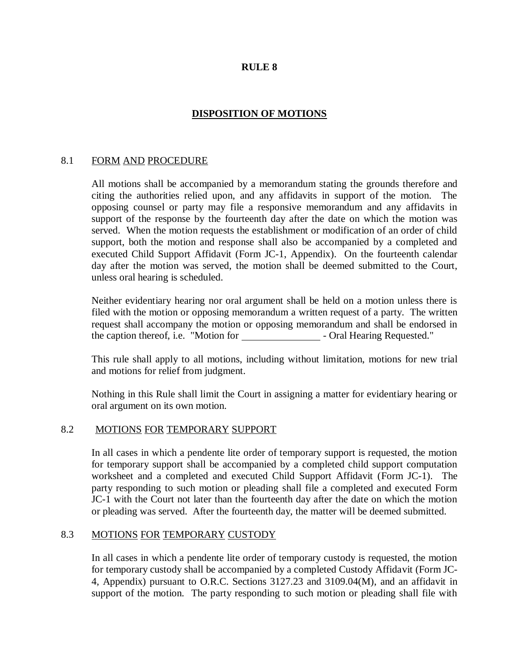## **DISPOSITION OF MOTIONS**

#### 8.1 FORM AND PROCEDURE

All motions shall be accompanied by a memorandum stating the grounds therefore and citing the authorities relied upon, and any affidavits in support of the motion. The opposing counsel or party may file a responsive memorandum and any affidavits in support of the response by the fourteenth day after the date on which the motion was served. When the motion requests the establishment or modification of an order of child support, both the motion and response shall also be accompanied by a completed and executed Child Support Affidavit (Form JC-1, Appendix). On the fourteenth calendar day after the motion was served, the motion shall be deemed submitted to the Court, unless oral hearing is scheduled.

Neither evidentiary hearing nor oral argument shall be held on a motion unless there is filed with the motion or opposing memorandum a written request of a party. The written request shall accompany the motion or opposing memorandum and shall be endorsed in the caption thereof, i.e. "Motion for - Oral Hearing Requested."

This rule shall apply to all motions, including without limitation, motions for new trial and motions for relief from judgment.

Nothing in this Rule shall limit the Court in assigning a matter for evidentiary hearing or oral argument on its own motion.

#### 8.2 MOTIONS FOR TEMPORARY SUPPORT

In all cases in which a pendente lite order of temporary support is requested, the motion for temporary support shall be accompanied by a completed child support computation worksheet and a completed and executed Child Support Affidavit (Form JC-1). The party responding to such motion or pleading shall file a completed and executed Form JC-1 with the Court not later than the fourteenth day after the date on which the motion or pleading was served. After the fourteenth day, the matter will be deemed submitted.

#### 8.3 MOTIONS FOR TEMPORARY CUSTODY

In all cases in which a pendente lite order of temporary custody is requested, the motion for temporary custody shall be accompanied by a completed Custody Affidavit (Form JC-4, Appendix) pursuant to O.R.C. Sections 3127.23 and 3109.04(M), and an affidavit in support of the motion. The party responding to such motion or pleading shall file with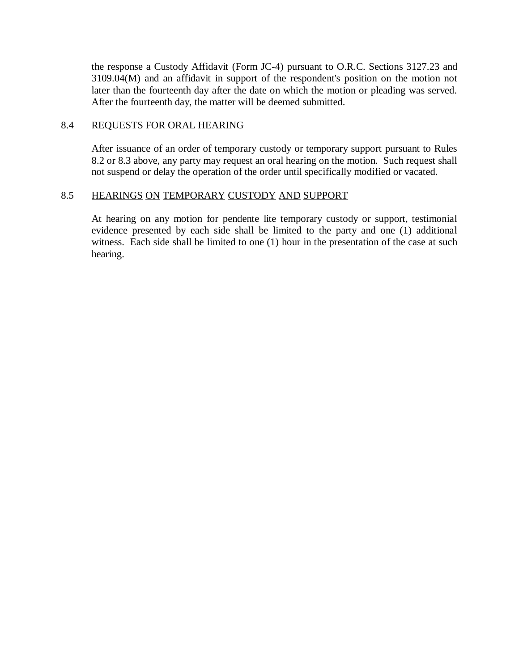the response a Custody Affidavit (Form JC-4) pursuant to O.R.C. Sections 3127.23 and 3109.04(M) and an affidavit in support of the respondent's position on the motion not later than the fourteenth day after the date on which the motion or pleading was served. After the fourteenth day, the matter will be deemed submitted.

#### 8.4 REQUESTS FOR ORAL HEARING

After issuance of an order of temporary custody or temporary support pursuant to Rules 8.2 or 8.3 above, any party may request an oral hearing on the motion. Such request shall not suspend or delay the operation of the order until specifically modified or vacated.

## 8.5 HEARINGS ON TEMPORARY CUSTODY AND SUPPORT

At hearing on any motion for pendente lite temporary custody or support, testimonial evidence presented by each side shall be limited to the party and one (1) additional witness. Each side shall be limited to one (1) hour in the presentation of the case at such hearing.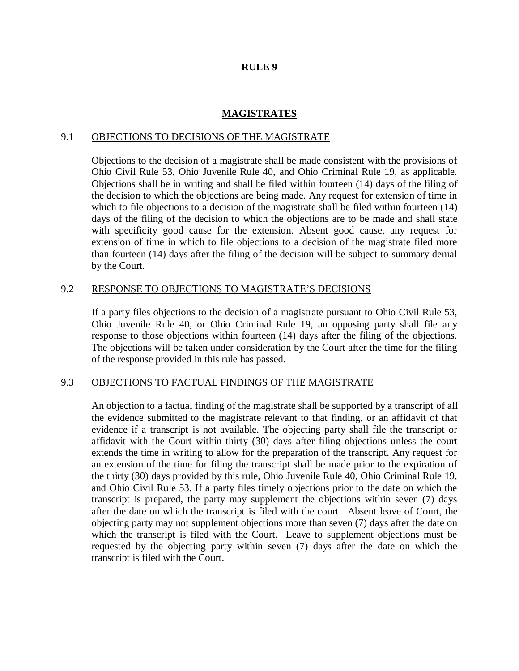#### **MAGISTRATES**

#### 9.1 OBJECTIONS TO DECISIONS OF THE MAGISTRATE

Objections to the decision of a magistrate shall be made consistent with the provisions of Ohio Civil Rule 53, Ohio Juvenile Rule 40, and Ohio Criminal Rule 19, as applicable. Objections shall be in writing and shall be filed within fourteen (14) days of the filing of the decision to which the objections are being made. Any request for extension of time in which to file objections to a decision of the magistrate shall be filed within fourteen (14) days of the filing of the decision to which the objections are to be made and shall state with specificity good cause for the extension. Absent good cause, any request for extension of time in which to file objections to a decision of the magistrate filed more than fourteen (14) days after the filing of the decision will be subject to summary denial by the Court.

#### 9.2 RESPONSE TO OBJECTIONS TO MAGISTRATE'S DECISIONS

If a party files objections to the decision of a magistrate pursuant to Ohio Civil Rule 53, Ohio Juvenile Rule 40, or Ohio Criminal Rule 19, an opposing party shall file any response to those objections within fourteen (14) days after the filing of the objections. The objections will be taken under consideration by the Court after the time for the filing of the response provided in this rule has passed.

## 9.3 OBJECTIONS TO FACTUAL FINDINGS OF THE MAGISTRATE

An objection to a factual finding of the magistrate shall be supported by a transcript of all the evidence submitted to the magistrate relevant to that finding, or an affidavit of that evidence if a transcript is not available. The objecting party shall file the transcript or affidavit with the Court within thirty (30) days after filing objections unless the court extends the time in writing to allow for the preparation of the transcript. Any request for an extension of the time for filing the transcript shall be made prior to the expiration of the thirty (30) days provided by this rule, Ohio Juvenile Rule 40, Ohio Criminal Rule 19, and Ohio Civil Rule 53. If a party files timely objections prior to the date on which the transcript is prepared, the party may supplement the objections within seven (7) days after the date on which the transcript is filed with the court. Absent leave of Court, the objecting party may not supplement objections more than seven (7) days after the date on which the transcript is filed with the Court. Leave to supplement objections must be requested by the objecting party within seven (7) days after the date on which the transcript is filed with the Court.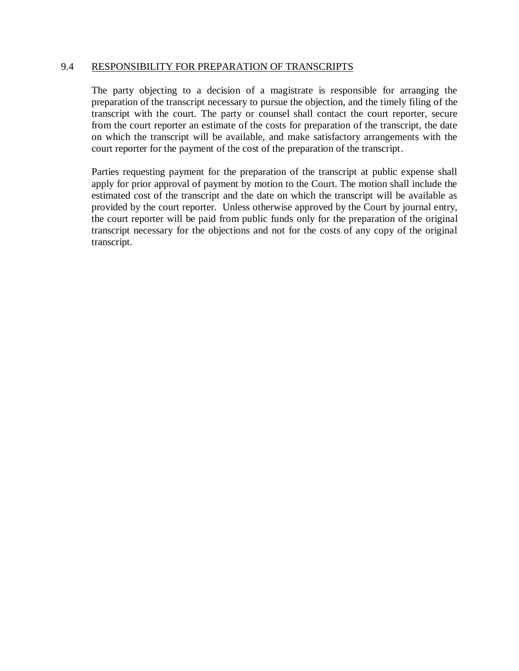#### 9.4 RESPONSIBILITY FOR PREPARATION OF TRANSCRIPTS

The party objecting to a decision of a magistrate is responsible for arranging the preparation of the transcript necessary to pursue the objection, and the timely filing of the transcript with the court. The party or counsel shall contact the court reporter, secure from the court reporter an estimate of the costs for preparation of the transcript, the date on which the transcript will be available, and make satisfactory arrangements with the court reporter for the payment of the cost of the preparation of the transcript.

Parties requesting payment for the preparation of the transcript at public expense shall apply for prior approval of payment by motion to the Court. The motion shall include the estimated cost of the transcript and the date on which the transcript will be available as provided by the court reporter. Unless otherwise approved by the Court by journal entry, the court reporter will be paid from public funds only for the preparation of the original transcript necessary for the objections and not for the costs of any copy of the original transcript.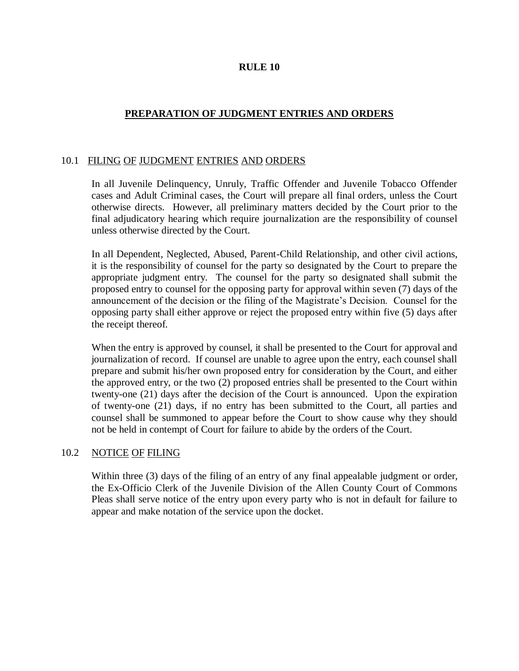## **PREPARATION OF JUDGMENT ENTRIES AND ORDERS**

## 10.1 FILING OF JUDGMENT ENTRIES AND ORDERS

In all Juvenile Delinquency, Unruly, Traffic Offender and Juvenile Tobacco Offender cases and Adult Criminal cases, the Court will prepare all final orders, unless the Court otherwise directs. However, all preliminary matters decided by the Court prior to the final adjudicatory hearing which require journalization are the responsibility of counsel unless otherwise directed by the Court.

In all Dependent, Neglected, Abused, Parent-Child Relationship, and other civil actions, it is the responsibility of counsel for the party so designated by the Court to prepare the appropriate judgment entry. The counsel for the party so designated shall submit the proposed entry to counsel for the opposing party for approval within seven (7) days of the announcement of the decision or the filing of the Magistrate's Decision. Counsel for the opposing party shall either approve or reject the proposed entry within five (5) days after the receipt thereof.

When the entry is approved by counsel, it shall be presented to the Court for approval and journalization of record. If counsel are unable to agree upon the entry, each counsel shall prepare and submit his/her own proposed entry for consideration by the Court, and either the approved entry, or the two (2) proposed entries shall be presented to the Court within twenty-one (21) days after the decision of the Court is announced. Upon the expiration of twenty-one (21) days, if no entry has been submitted to the Court, all parties and counsel shall be summoned to appear before the Court to show cause why they should not be held in contempt of Court for failure to abide by the orders of the Court.

## 10.2 NOTICE OF FILING

Within three (3) days of the filing of an entry of any final appealable judgment or order, the Ex-Officio Clerk of the Juvenile Division of the Allen County Court of Commons Pleas shall serve notice of the entry upon every party who is not in default for failure to appear and make notation of the service upon the docket.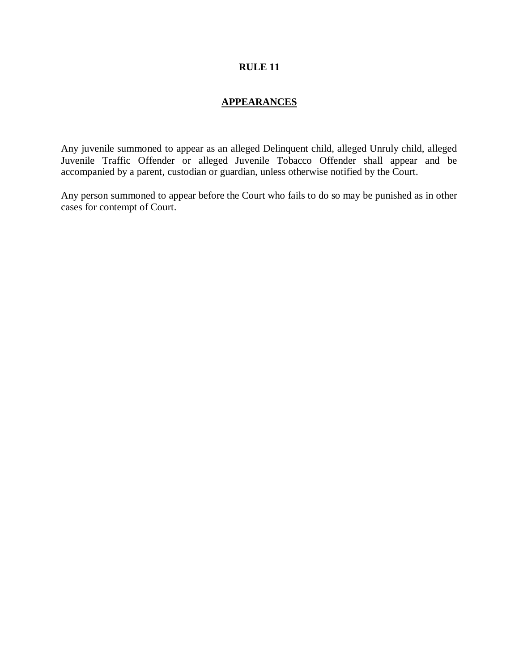## **APPEARANCES**

Any juvenile summoned to appear as an alleged Delinquent child, alleged Unruly child, alleged Juvenile Traffic Offender or alleged Juvenile Tobacco Offender shall appear and be accompanied by a parent, custodian or guardian, unless otherwise notified by the Court.

Any person summoned to appear before the Court who fails to do so may be punished as in other cases for contempt of Court.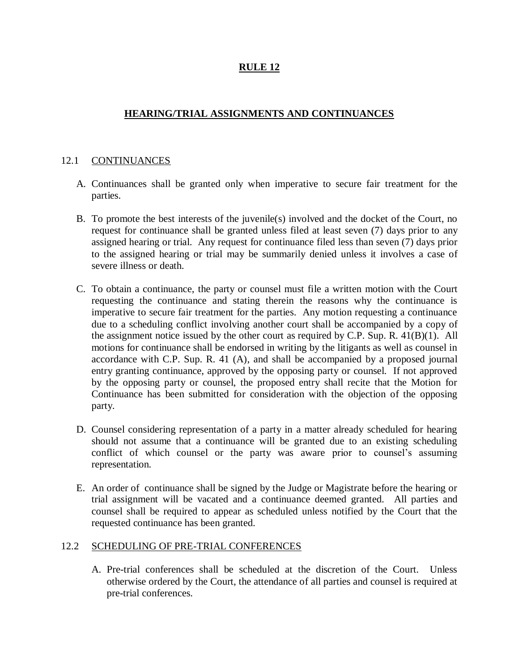## **HEARING/TRIAL ASSIGNMENTS AND CONTINUANCES**

## 12.1 CONTINUANCES

- A. Continuances shall be granted only when imperative to secure fair treatment for the parties.
- B. To promote the best interests of the juvenile(s) involved and the docket of the Court, no request for continuance shall be granted unless filed at least seven (7) days prior to any assigned hearing or trial. Any request for continuance filed less than seven (7) days prior to the assigned hearing or trial may be summarily denied unless it involves a case of severe illness or death.
- C. To obtain a continuance, the party or counsel must file a written motion with the Court requesting the continuance and stating therein the reasons why the continuance is imperative to secure fair treatment for the parties. Any motion requesting a continuance due to a scheduling conflict involving another court shall be accompanied by a copy of the assignment notice issued by the other court as required by C.P. Sup. R. 41(B)(1). All motions for continuance shall be endorsed in writing by the litigants as well as counsel in accordance with C.P. Sup. R. 41 (A), and shall be accompanied by a proposed journal entry granting continuance, approved by the opposing party or counsel. If not approved by the opposing party or counsel, the proposed entry shall recite that the Motion for Continuance has been submitted for consideration with the objection of the opposing party.
- D. Counsel considering representation of a party in a matter already scheduled for hearing should not assume that a continuance will be granted due to an existing scheduling conflict of which counsel or the party was aware prior to counsel's assuming representation.
- E. An order of continuance shall be signed by the Judge or Magistrate before the hearing or trial assignment will be vacated and a continuance deemed granted. All parties and counsel shall be required to appear as scheduled unless notified by the Court that the requested continuance has been granted.

#### 12.2 SCHEDULING OF PRE-TRIAL CONFERENCES

A. Pre-trial conferences shall be scheduled at the discretion of the Court. Unless otherwise ordered by the Court, the attendance of all parties and counsel is required at pre-trial conferences.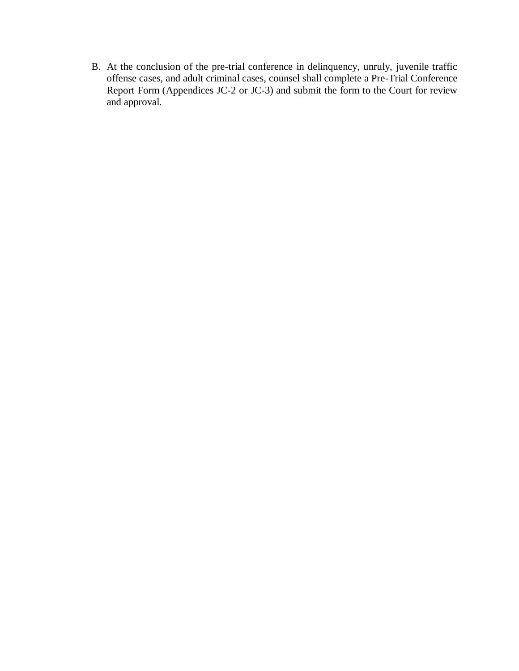B. At the conclusion of the pre-trial conference in delinquency, unruly, juvenile traffic offense cases, and adult criminal cases, counsel shall complete a Pre-Trial Conference Report Form (Appendices JC-2 or JC-3) and submit the form to the Court for review and approval.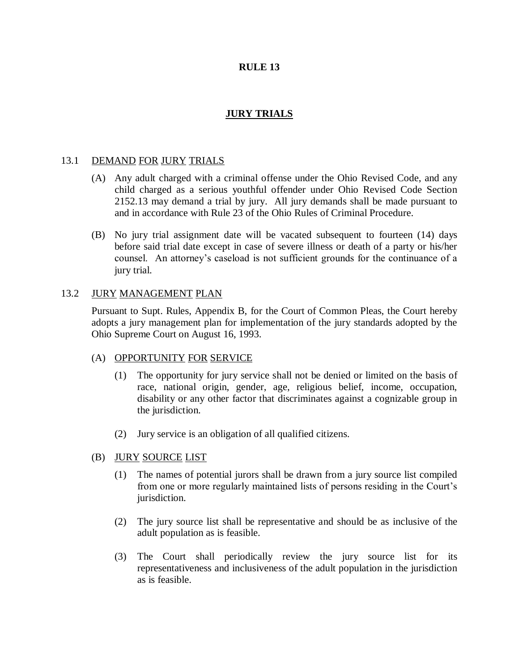## **JURY TRIALS**

#### 13.1 DEMAND FOR JURY TRIALS

- (A) Any adult charged with a criminal offense under the Ohio Revised Code, and any child charged as a serious youthful offender under Ohio Revised Code Section 2152.13 may demand a trial by jury. All jury demands shall be made pursuant to and in accordance with Rule 23 of the Ohio Rules of Criminal Procedure.
- (B) No jury trial assignment date will be vacated subsequent to fourteen (14) days before said trial date except in case of severe illness or death of a party or his/her counsel. An attorney's caseload is not sufficient grounds for the continuance of a jury trial.

#### 13.2 JURY MANAGEMENT PLAN

Pursuant to Supt. Rules, Appendix B, for the Court of Common Pleas, the Court hereby adopts a jury management plan for implementation of the jury standards adopted by the Ohio Supreme Court on August 16, 1993.

#### (A) OPPORTUNITY FOR SERVICE

- (1) The opportunity for jury service shall not be denied or limited on the basis of race, national origin, gender, age, religious belief, income, occupation, disability or any other factor that discriminates against a cognizable group in the jurisdiction.
- (2) Jury service is an obligation of all qualified citizens.

#### (B) JURY SOURCE LIST

- (1) The names of potential jurors shall be drawn from a jury source list compiled from one or more regularly maintained lists of persons residing in the Court's jurisdiction.
- (2) The jury source list shall be representative and should be as inclusive of the adult population as is feasible.
- (3) The Court shall periodically review the jury source list for its representativeness and inclusiveness of the adult population in the jurisdiction as is feasible.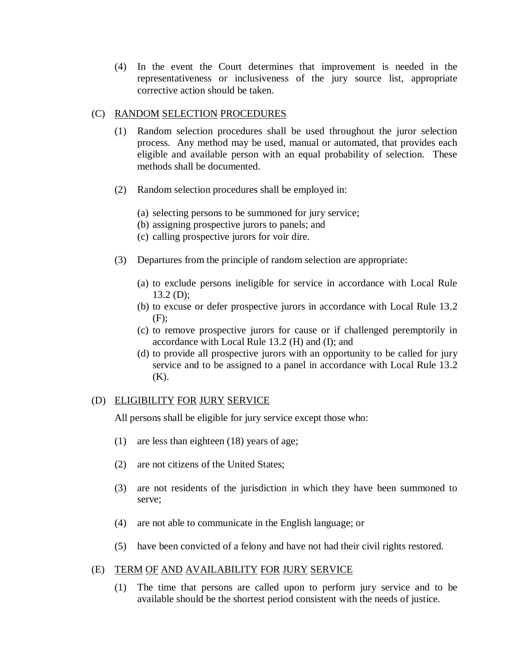(4) In the event the Court determines that improvement is needed in the representativeness or inclusiveness of the jury source list, appropriate corrective action should be taken.

#### (C) RANDOM SELECTION PROCEDURES

- (1) Random selection procedures shall be used throughout the juror selection process. Any method may be used, manual or automated, that provides each eligible and available person with an equal probability of selection. These methods shall be documented.
- (2) Random selection procedures shall be employed in:
	- (a) selecting persons to be summoned for jury service;
	- (b) assigning prospective jurors to panels; and
	- (c) calling prospective jurors for voir dire.
- (3) Departures from the principle of random selection are appropriate:
	- (a) to exclude persons ineligible for service in accordance with Local Rule 13.2 (D);
	- (b) to excuse or defer prospective jurors in accordance with Local Rule 13.2 (F);
	- (c) to remove prospective jurors for cause or if challenged peremptorily in accordance with Local Rule 13.2 (H) and (I); and
	- (d) to provide all prospective jurors with an opportunity to be called for jury service and to be assigned to a panel in accordance with Local Rule 13.2 (K).

## (D) ELIGIBILITY FOR JURY SERVICE

All persons shall be eligible for jury service except those who:

- (1) are less than eighteen (18) years of age;
- (2) are not citizens of the United States;
- (3) are not residents of the jurisdiction in which they have been summoned to serve;
- (4) are not able to communicate in the English language; or
- (5) have been convicted of a felony and have not had their civil rights restored.

## (E) TERM OF AND AVAILABILITY FOR JURY SERVICE

(1) The time that persons are called upon to perform jury service and to be available should be the shortest period consistent with the needs of justice.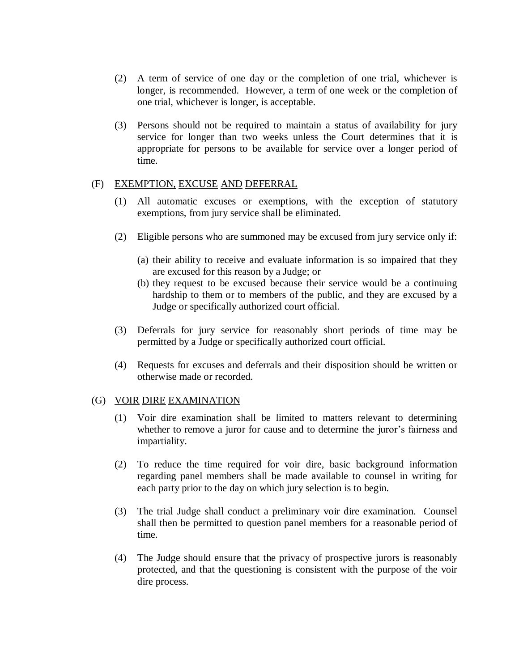- (2) A term of service of one day or the completion of one trial, whichever is longer, is recommended. However, a term of one week or the completion of one trial, whichever is longer, is acceptable.
- (3) Persons should not be required to maintain a status of availability for jury service for longer than two weeks unless the Court determines that it is appropriate for persons to be available for service over a longer period of time.

#### (F) EXEMPTION, EXCUSE AND DEFERRAL

- (1) All automatic excuses or exemptions, with the exception of statutory exemptions, from jury service shall be eliminated.
- (2) Eligible persons who are summoned may be excused from jury service only if:
	- (a) their ability to receive and evaluate information is so impaired that they are excused for this reason by a Judge; or
	- (b) they request to be excused because their service would be a continuing hardship to them or to members of the public, and they are excused by a Judge or specifically authorized court official.
- (3) Deferrals for jury service for reasonably short periods of time may be permitted by a Judge or specifically authorized court official.
- (4) Requests for excuses and deferrals and their disposition should be written or otherwise made or recorded.

#### (G) VOIR DIRE EXAMINATION

- (1) Voir dire examination shall be limited to matters relevant to determining whether to remove a juror for cause and to determine the juror's fairness and impartiality.
- (2) To reduce the time required for voir dire, basic background information regarding panel members shall be made available to counsel in writing for each party prior to the day on which jury selection is to begin.
- (3) The trial Judge shall conduct a preliminary voir dire examination. Counsel shall then be permitted to question panel members for a reasonable period of time.
- (4) The Judge should ensure that the privacy of prospective jurors is reasonably protected, and that the questioning is consistent with the purpose of the voir dire process.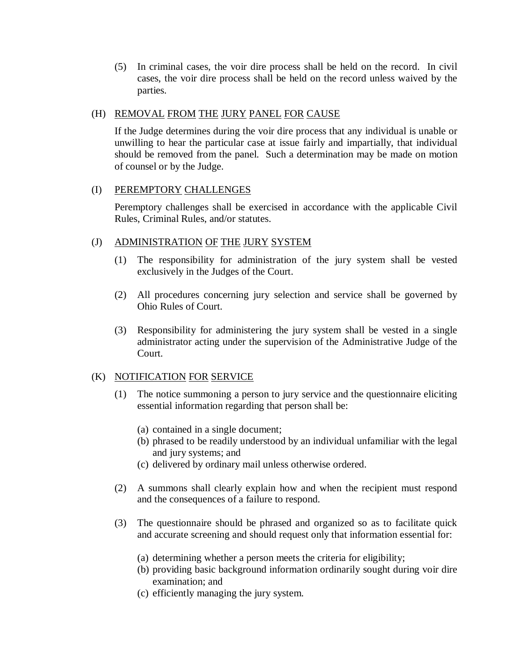(5) In criminal cases, the voir dire process shall be held on the record. In civil cases, the voir dire process shall be held on the record unless waived by the parties.

#### (H) REMOVAL FROM THE JURY PANEL FOR CAUSE

If the Judge determines during the voir dire process that any individual is unable or unwilling to hear the particular case at issue fairly and impartially, that individual should be removed from the panel. Such a determination may be made on motion of counsel or by the Judge.

#### (I) PEREMPTORY CHALLENGES

Peremptory challenges shall be exercised in accordance with the applicable Civil Rules, Criminal Rules, and/or statutes.

## (J) ADMINISTRATION OF THE JURY SYSTEM

- (1) The responsibility for administration of the jury system shall be vested exclusively in the Judges of the Court.
- (2) All procedures concerning jury selection and service shall be governed by Ohio Rules of Court.
- (3) Responsibility for administering the jury system shall be vested in a single administrator acting under the supervision of the Administrative Judge of the Court.

#### (K) NOTIFICATION FOR SERVICE

- (1) The notice summoning a person to jury service and the questionnaire eliciting essential information regarding that person shall be:
	- (a) contained in a single document;
	- (b) phrased to be readily understood by an individual unfamiliar with the legal and jury systems; and
	- (c) delivered by ordinary mail unless otherwise ordered.
- (2) A summons shall clearly explain how and when the recipient must respond and the consequences of a failure to respond.
- (3) The questionnaire should be phrased and organized so as to facilitate quick and accurate screening and should request only that information essential for:
	- (a) determining whether a person meets the criteria for eligibility;
	- (b) providing basic background information ordinarily sought during voir dire examination; and
	- (c) efficiently managing the jury system.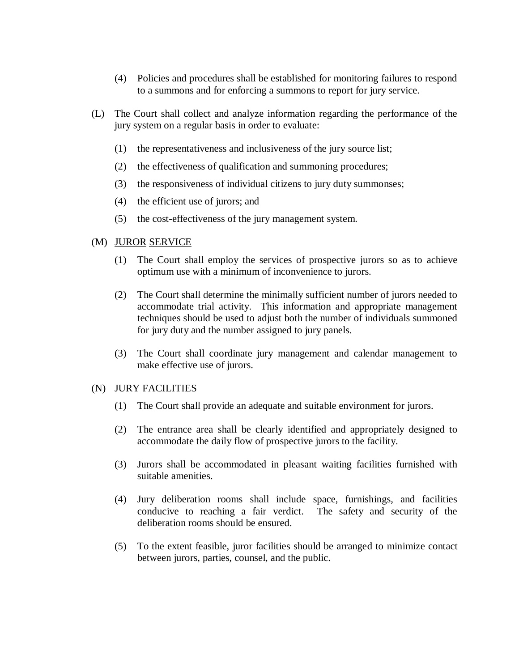- (4) Policies and procedures shall be established for monitoring failures to respond to a summons and for enforcing a summons to report for jury service.
- (L) The Court shall collect and analyze information regarding the performance of the jury system on a regular basis in order to evaluate:
	- (1) the representativeness and inclusiveness of the jury source list;
	- (2) the effectiveness of qualification and summoning procedures;
	- (3) the responsiveness of individual citizens to jury duty summonses;
	- (4) the efficient use of jurors; and
	- (5) the cost-effectiveness of the jury management system.

#### (M) JUROR SERVICE

- (1) The Court shall employ the services of prospective jurors so as to achieve optimum use with a minimum of inconvenience to jurors.
- (2) The Court shall determine the minimally sufficient number of jurors needed to accommodate trial activity. This information and appropriate management techniques should be used to adjust both the number of individuals summoned for jury duty and the number assigned to jury panels.
- (3) The Court shall coordinate jury management and calendar management to make effective use of jurors.

#### (N) JURY FACILITIES

- (1) The Court shall provide an adequate and suitable environment for jurors.
- (2) The entrance area shall be clearly identified and appropriately designed to accommodate the daily flow of prospective jurors to the facility.
- (3) Jurors shall be accommodated in pleasant waiting facilities furnished with suitable amenities.
- (4) Jury deliberation rooms shall include space, furnishings, and facilities conducive to reaching a fair verdict. The safety and security of the deliberation rooms should be ensured.
- (5) To the extent feasible, juror facilities should be arranged to minimize contact between jurors, parties, counsel, and the public.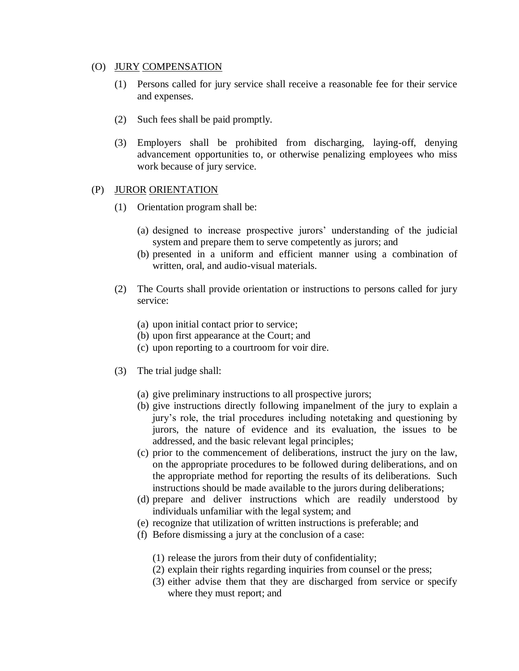#### (O) JURY COMPENSATION

- (1) Persons called for jury service shall receive a reasonable fee for their service and expenses.
- (2) Such fees shall be paid promptly.
- (3) Employers shall be prohibited from discharging, laying-off, denying advancement opportunities to, or otherwise penalizing employees who miss work because of jury service.

## (P) JUROR ORIENTATION

- (1) Orientation program shall be:
	- (a) designed to increase prospective jurors' understanding of the judicial system and prepare them to serve competently as jurors; and
	- (b) presented in a uniform and efficient manner using a combination of written, oral, and audio-visual materials.
- (2) The Courts shall provide orientation or instructions to persons called for jury service:
	- (a) upon initial contact prior to service;
	- (b) upon first appearance at the Court; and
	- (c) upon reporting to a courtroom for voir dire.
- (3) The trial judge shall:
	- (a) give preliminary instructions to all prospective jurors;
	- (b) give instructions directly following impanelment of the jury to explain a jury's role, the trial procedures including notetaking and questioning by jurors, the nature of evidence and its evaluation, the issues to be addressed, and the basic relevant legal principles;
	- (c) prior to the commencement of deliberations, instruct the jury on the law, on the appropriate procedures to be followed during deliberations, and on the appropriate method for reporting the results of its deliberations. Such instructions should be made available to the jurors during deliberations;
	- (d) prepare and deliver instructions which are readily understood by individuals unfamiliar with the legal system; and
	- (e) recognize that utilization of written instructions is preferable; and
	- (f) Before dismissing a jury at the conclusion of a case:
		- (1) release the jurors from their duty of confidentiality;
		- (2) explain their rights regarding inquiries from counsel or the press;
		- (3) either advise them that they are discharged from service or specify where they must report; and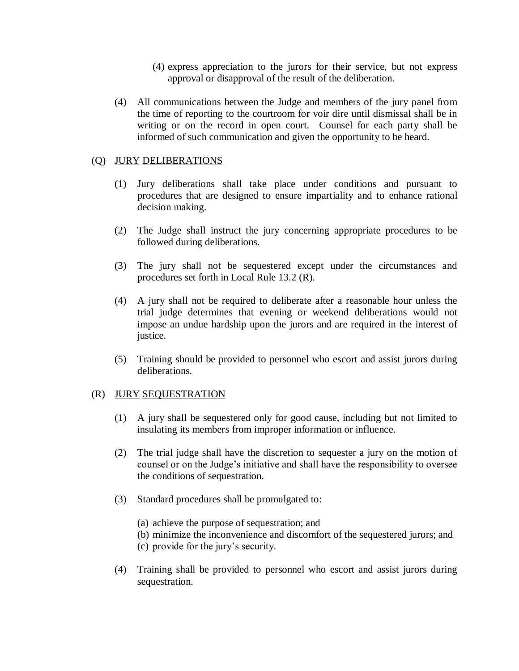- (4) express appreciation to the jurors for their service, but not express approval or disapproval of the result of the deliberation.
- (4) All communications between the Judge and members of the jury panel from the time of reporting to the courtroom for voir dire until dismissal shall be in writing or on the record in open court. Counsel for each party shall be informed of such communication and given the opportunity to be heard.

## (Q) JURY DELIBERATIONS

- (1) Jury deliberations shall take place under conditions and pursuant to procedures that are designed to ensure impartiality and to enhance rational decision making.
- (2) The Judge shall instruct the jury concerning appropriate procedures to be followed during deliberations.
- (3) The jury shall not be sequestered except under the circumstances and procedures set forth in Local Rule 13.2 (R).
- (4) A jury shall not be required to deliberate after a reasonable hour unless the trial judge determines that evening or weekend deliberations would not impose an undue hardship upon the jurors and are required in the interest of justice.
- (5) Training should be provided to personnel who escort and assist jurors during deliberations.

## (R) JURY SEQUESTRATION

- (1) A jury shall be sequestered only for good cause, including but not limited to insulating its members from improper information or influence.
- (2) The trial judge shall have the discretion to sequester a jury on the motion of counsel or on the Judge's initiative and shall have the responsibility to oversee the conditions of sequestration.
- (3) Standard procedures shall be promulgated to:
	- (a) achieve the purpose of sequestration; and
	- (b) minimize the inconvenience and discomfort of the sequestered jurors; and
	- (c) provide for the jury's security.
- (4) Training shall be provided to personnel who escort and assist jurors during sequestration.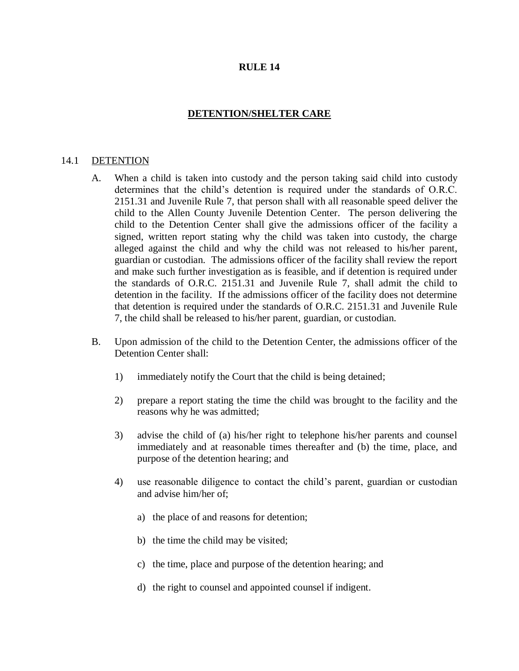## **DETENTION/SHELTER CARE**

#### 14.1 DETENTION

- A. When a child is taken into custody and the person taking said child into custody determines that the child's detention is required under the standards of O.R.C. 2151.31 and Juvenile Rule 7, that person shall with all reasonable speed deliver the child to the Allen County Juvenile Detention Center. The person delivering the child to the Detention Center shall give the admissions officer of the facility a signed, written report stating why the child was taken into custody, the charge alleged against the child and why the child was not released to his/her parent, guardian or custodian. The admissions officer of the facility shall review the report and make such further investigation as is feasible, and if detention is required under the standards of O.R.C. 2151.31 and Juvenile Rule 7, shall admit the child to detention in the facility. If the admissions officer of the facility does not determine that detention is required under the standards of O.R.C. 2151.31 and Juvenile Rule 7, the child shall be released to his/her parent, guardian, or custodian.
- B. Upon admission of the child to the Detention Center, the admissions officer of the Detention Center shall:
	- 1) immediately notify the Court that the child is being detained;
	- 2) prepare a report stating the time the child was brought to the facility and the reasons why he was admitted;
	- 3) advise the child of (a) his/her right to telephone his/her parents and counsel immediately and at reasonable times thereafter and (b) the time, place, and purpose of the detention hearing; and
	- 4) use reasonable diligence to contact the child's parent, guardian or custodian and advise him/her of;
		- a) the place of and reasons for detention;
		- b) the time the child may be visited;
		- c) the time, place and purpose of the detention hearing; and
		- d) the right to counsel and appointed counsel if indigent.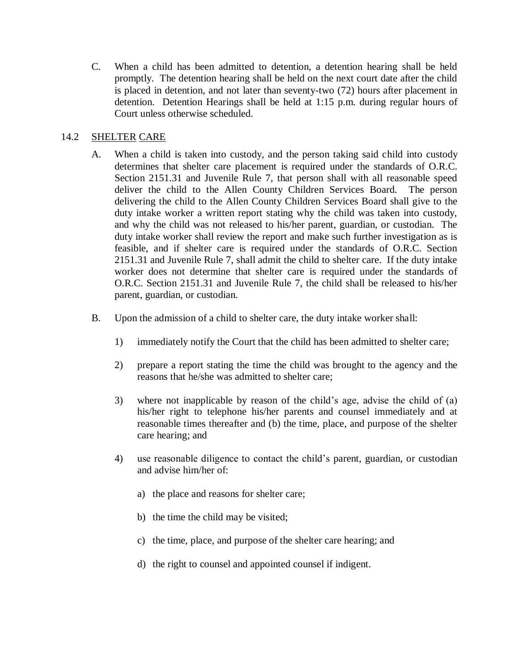C. When a child has been admitted to detention, a detention hearing shall be held promptly. The detention hearing shall be held on the next court date after the child is placed in detention, and not later than seventy-two (72) hours after placement in detention. Detention Hearings shall be held at 1:15 p.m. during regular hours of Court unless otherwise scheduled.

## 14.2 SHELTER CARE

- A. When a child is taken into custody, and the person taking said child into custody determines that shelter care placement is required under the standards of O.R.C. Section 2151.31 and Juvenile Rule 7, that person shall with all reasonable speed deliver the child to the Allen County Children Services Board. The person delivering the child to the Allen County Children Services Board shall give to the duty intake worker a written report stating why the child was taken into custody, and why the child was not released to his/her parent, guardian, or custodian. The duty intake worker shall review the report and make such further investigation as is feasible, and if shelter care is required under the standards of O.R.C. Section 2151.31 and Juvenile Rule 7, shall admit the child to shelter care. If the duty intake worker does not determine that shelter care is required under the standards of O.R.C. Section 2151.31 and Juvenile Rule 7, the child shall be released to his/her parent, guardian, or custodian.
- B. Upon the admission of a child to shelter care, the duty intake worker shall:
	- 1) immediately notify the Court that the child has been admitted to shelter care;
	- 2) prepare a report stating the time the child was brought to the agency and the reasons that he/she was admitted to shelter care;
	- 3) where not inapplicable by reason of the child's age, advise the child of (a) his/her right to telephone his/her parents and counsel immediately and at reasonable times thereafter and (b) the time, place, and purpose of the shelter care hearing; and
	- 4) use reasonable diligence to contact the child's parent, guardian, or custodian and advise him/her of:
		- a) the place and reasons for shelter care;
		- b) the time the child may be visited;
		- c) the time, place, and purpose of the shelter care hearing; and
		- d) the right to counsel and appointed counsel if indigent.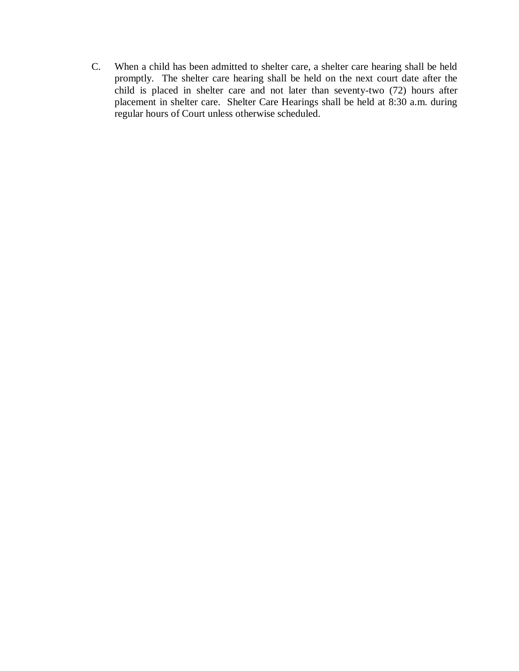C. When a child has been admitted to shelter care, a shelter care hearing shall be held promptly. The shelter care hearing shall be held on the next court date after the child is placed in shelter care and not later than seventy-two (72) hours after placement in shelter care. Shelter Care Hearings shall be held at 8:30 a.m. during regular hours of Court unless otherwise scheduled.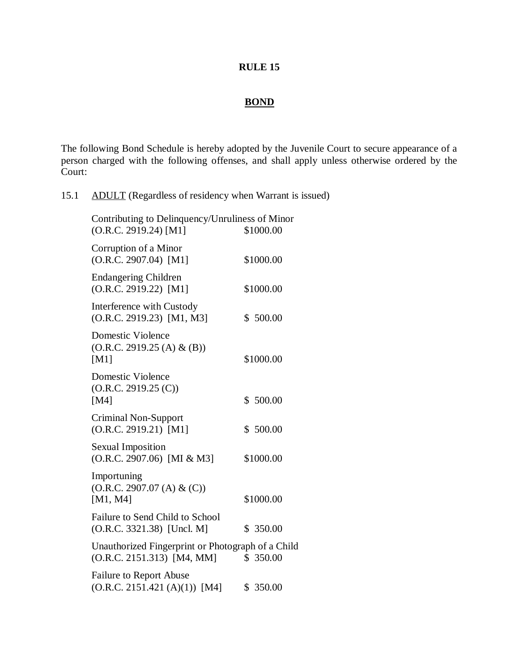# **BOND**

The following Bond Schedule is hereby adopted by the Juvenile Court to secure appearance of a person charged with the following offenses, and shall apply unless otherwise ordered by the Court:

15.1 ADULT (Regardless of residency when Warrant is issued)

| Contributing to Delinquency/Unruliness of Minor<br>(O.R.C. 2919.24) [M1]          | \$1000.00 |
|-----------------------------------------------------------------------------------|-----------|
| Corruption of a Minor<br>$(O.R.C. 2907.04)$ [M1]                                  | \$1000.00 |
| <b>Endangering Children</b><br>(O.R.C. 2919.22) [M1]                              | \$1000.00 |
| Interference with Custody<br>(O.R.C. 2919.23) [M1, M3]                            | \$500.00  |
| <b>Domestic Violence</b><br>(O.R.C. 2919.25 (A) & (B))<br>[M1]                    | \$1000.00 |
| <b>Domestic Violence</b><br>(O.R.C. 2919.25 (C))<br>[M4]                          | \$500.00  |
| <b>Criminal Non-Support</b><br>$(O.R.C. 2919.21)$ [M1]                            | \$500.00  |
| <b>Sexual Imposition</b><br>(O.R.C. 2907.06) [MI & M3]                            | \$1000.00 |
| Importuning<br>(O.R.C. 2907.07 (A) & (C))<br>[M1, M4]                             | \$1000.00 |
| Failure to Send Child to School<br>(O.R.C. 3321.38) [Uncl. M]                     | \$ 350.00 |
| Unauthorized Fingerprint or Photograph of a Child<br>$(O.R.C. 2151.313)$ [M4, MM] | \$ 350.00 |
| Failure to Report Abuse<br>(O.R.C. 2151.421 (A)(1)) [M4]                          | \$ 350.00 |
|                                                                                   |           |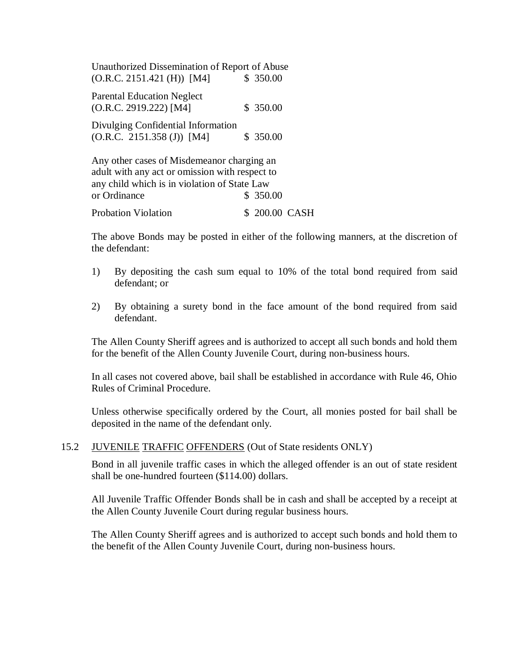| Unauthorized Dissemination of Report of Abuse<br>(O.R.C. 2151.421 (H)) [M4]                                                                                  | \$350.00  |
|--------------------------------------------------------------------------------------------------------------------------------------------------------------|-----------|
| <b>Parental Education Neglect</b><br>(O.R.C. 2919.222) [M4]                                                                                                  | \$350.00  |
| Divulging Confidential Information<br>$(O.R.C. 2151.358 (J))$ [M4]                                                                                           | \$350.00  |
| Any other cases of Misdemeanor charging an<br>adult with any act or omission with respect to<br>any child which is in violation of State Law<br>or Ordinance | \$ 350.00 |

Probation Violation  $$ 200.00$  CASH

The above Bonds may be posted in either of the following manners, at the discretion of the defendant:

- 1) By depositing the cash sum equal to 10% of the total bond required from said defendant; or
- 2) By obtaining a surety bond in the face amount of the bond required from said defendant.

The Allen County Sheriff agrees and is authorized to accept all such bonds and hold them for the benefit of the Allen County Juvenile Court, during non-business hours.

In all cases not covered above, bail shall be established in accordance with Rule 46, Ohio Rules of Criminal Procedure.

Unless otherwise specifically ordered by the Court, all monies posted for bail shall be deposited in the name of the defendant only.

#### 15.2 JUVENILE TRAFFIC OFFENDERS (Out of State residents ONLY)

Bond in all juvenile traffic cases in which the alleged offender is an out of state resident shall be one-hundred fourteen (\$114.00) dollars.

All Juvenile Traffic Offender Bonds shall be in cash and shall be accepted by a receipt at the Allen County Juvenile Court during regular business hours.

The Allen County Sheriff agrees and is authorized to accept such bonds and hold them to the benefit of the Allen County Juvenile Court, during non-business hours.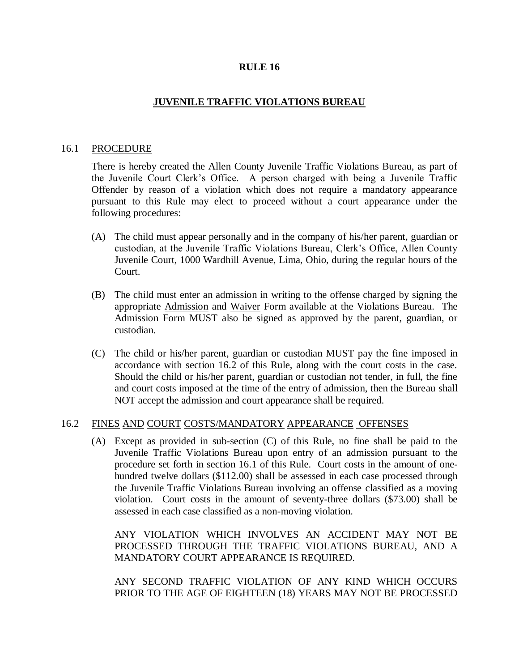## **JUVENILE TRAFFIC VIOLATIONS BUREAU**

#### 16.1 PROCEDURE

There is hereby created the Allen County Juvenile Traffic Violations Bureau, as part of the Juvenile Court Clerk's Office. A person charged with being a Juvenile Traffic Offender by reason of a violation which does not require a mandatory appearance pursuant to this Rule may elect to proceed without a court appearance under the following procedures:

- (A) The child must appear personally and in the company of his/her parent, guardian or custodian, at the Juvenile Traffic Violations Bureau, Clerk's Office, Allen County Juvenile Court, 1000 Wardhill Avenue, Lima, Ohio, during the regular hours of the Court.
- (B) The child must enter an admission in writing to the offense charged by signing the appropriate Admission and Waiver Form available at the Violations Bureau. The Admission Form MUST also be signed as approved by the parent, guardian, or custodian.
- (C) The child or his/her parent, guardian or custodian MUST pay the fine imposed in accordance with section 16.2 of this Rule, along with the court costs in the case. Should the child or his/her parent, guardian or custodian not tender, in full, the fine and court costs imposed at the time of the entry of admission, then the Bureau shall NOT accept the admission and court appearance shall be required.

## 16.2 FINES AND COURT COSTS/MANDATORY APPEARANCE OFFENSES

(A) Except as provided in sub-section (C) of this Rule, no fine shall be paid to the Juvenile Traffic Violations Bureau upon entry of an admission pursuant to the procedure set forth in section 16.1 of this Rule. Court costs in the amount of onehundred twelve dollars (\$112.00) shall be assessed in each case processed through the Juvenile Traffic Violations Bureau involving an offense classified as a moving violation. Court costs in the amount of seventy-three dollars (\$73.00) shall be assessed in each case classified as a non-moving violation.

ANY VIOLATION WHICH INVOLVES AN ACCIDENT MAY NOT BE PROCESSED THROUGH THE TRAFFIC VIOLATIONS BUREAU, AND A MANDATORY COURT APPEARANCE IS REQUIRED.

ANY SECOND TRAFFIC VIOLATION OF ANY KIND WHICH OCCURS PRIOR TO THE AGE OF EIGHTEEN (18) YEARS MAY NOT BE PROCESSED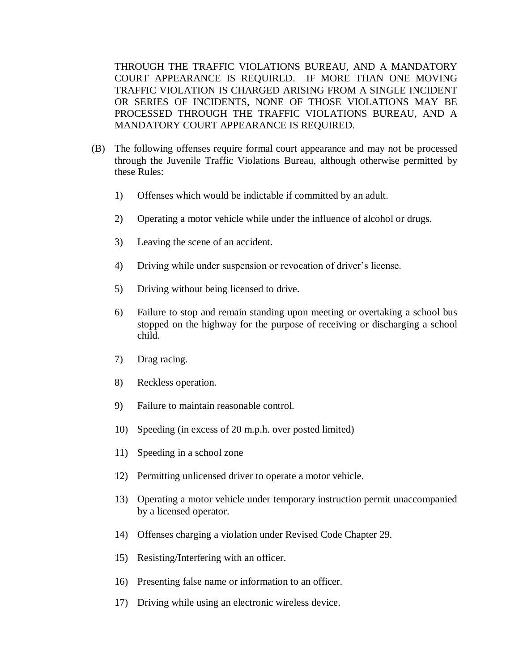THROUGH THE TRAFFIC VIOLATIONS BUREAU, AND A MANDATORY COURT APPEARANCE IS REQUIRED. IF MORE THAN ONE MOVING TRAFFIC VIOLATION IS CHARGED ARISING FROM A SINGLE INCIDENT OR SERIES OF INCIDENTS, NONE OF THOSE VIOLATIONS MAY BE PROCESSED THROUGH THE TRAFFIC VIOLATIONS BUREAU, AND A MANDATORY COURT APPEARANCE IS REQUIRED.

- (B) The following offenses require formal court appearance and may not be processed through the Juvenile Traffic Violations Bureau, although otherwise permitted by these Rules:
	- 1) Offenses which would be indictable if committed by an adult.
	- 2) Operating a motor vehicle while under the influence of alcohol or drugs.
	- 3) Leaving the scene of an accident.
	- 4) Driving while under suspension or revocation of driver's license.
	- 5) Driving without being licensed to drive.
	- 6) Failure to stop and remain standing upon meeting or overtaking a school bus stopped on the highway for the purpose of receiving or discharging a school child.
	- 7) Drag racing.
	- 8) Reckless operation.
	- 9) Failure to maintain reasonable control.
	- 10) Speeding (in excess of 20 m.p.h. over posted limited)
	- 11) Speeding in a school zone
	- 12) Permitting unlicensed driver to operate a motor vehicle.
	- 13) Operating a motor vehicle under temporary instruction permit unaccompanied by a licensed operator.
	- 14) Offenses charging a violation under Revised Code Chapter 29.
	- 15) Resisting/Interfering with an officer.
	- 16) Presenting false name or information to an officer.
	- 17) Driving while using an electronic wireless device.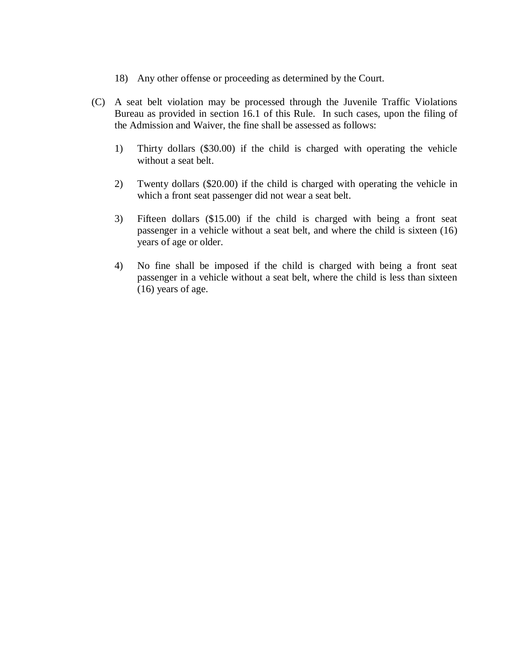- 18) Any other offense or proceeding as determined by the Court.
- (C) A seat belt violation may be processed through the Juvenile Traffic Violations Bureau as provided in section 16.1 of this Rule. In such cases, upon the filing of the Admission and Waiver, the fine shall be assessed as follows:
	- 1) Thirty dollars (\$30.00) if the child is charged with operating the vehicle without a seat belt.
	- 2) Twenty dollars (\$20.00) if the child is charged with operating the vehicle in which a front seat passenger did not wear a seat belt.
	- 3) Fifteen dollars (\$15.00) if the child is charged with being a front seat passenger in a vehicle without a seat belt, and where the child is sixteen (16) years of age or older.
	- 4) No fine shall be imposed if the child is charged with being a front seat passenger in a vehicle without a seat belt, where the child is less than sixteen (16) years of age.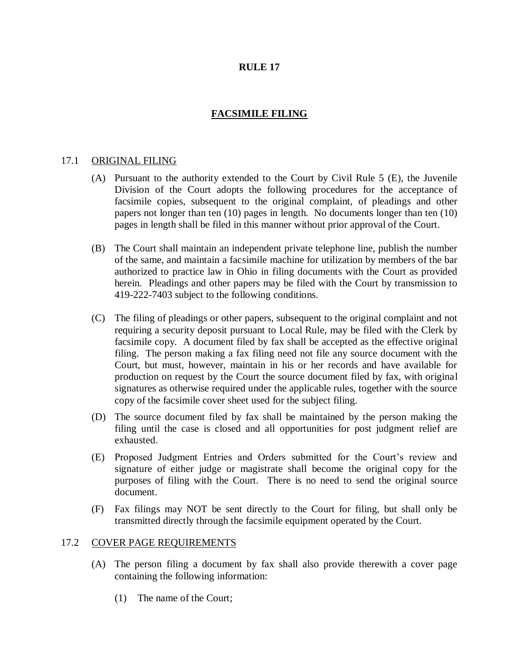# **FACSIMILE FILING**

#### 17.1 ORIGINAL FILING

- (A) Pursuant to the authority extended to the Court by Civil Rule 5 (E), the Juvenile Division of the Court adopts the following procedures for the acceptance of facsimile copies, subsequent to the original complaint, of pleadings and other papers not longer than ten (10) pages in length. No documents longer than ten (10) pages in length shall be filed in this manner without prior approval of the Court.
- (B) The Court shall maintain an independent private telephone line, publish the number of the same, and maintain a facsimile machine for utilization by members of the bar authorized to practice law in Ohio in filing documents with the Court as provided herein. Pleadings and other papers may be filed with the Court by transmission to 419-222-7403 subject to the following conditions.
- (C) The filing of pleadings or other papers, subsequent to the original complaint and not requiring a security deposit pursuant to Local Rule, may be filed with the Clerk by facsimile copy. A document filed by fax shall be accepted as the effective original filing. The person making a fax filing need not file any source document with the Court, but must, however, maintain in his or her records and have available for production on request by the Court the source document filed by fax, with original signatures as otherwise required under the applicable rules, together with the source copy of the facsimile cover sheet used for the subject filing.
- (D) The source document filed by fax shall be maintained by the person making the filing until the case is closed and all opportunities for post judgment relief are exhausted.
- (E) Proposed Judgment Entries and Orders submitted for the Court's review and signature of either judge or magistrate shall become the original copy for the purposes of filing with the Court. There is no need to send the original source document.
- (F) Fax filings may NOT be sent directly to the Court for filing, but shall only be transmitted directly through the facsimile equipment operated by the Court.

#### 17.2 COVER PAGE REQUIREMENTS

- (A) The person filing a document by fax shall also provide therewith a cover page containing the following information:
	- (1) The name of the Court;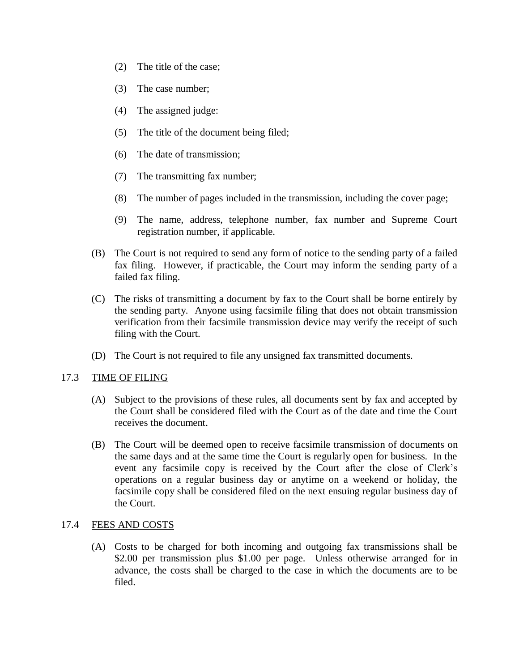- (2) The title of the case;
- (3) The case number;
- (4) The assigned judge:
- (5) The title of the document being filed;
- (6) The date of transmission;
- (7) The transmitting fax number;
- (8) The number of pages included in the transmission, including the cover page;
- (9) The name, address, telephone number, fax number and Supreme Court registration number, if applicable.
- (B) The Court is not required to send any form of notice to the sending party of a failed fax filing. However, if practicable, the Court may inform the sending party of a failed fax filing.
- (C) The risks of transmitting a document by fax to the Court shall be borne entirely by the sending party. Anyone using facsimile filing that does not obtain transmission verification from their facsimile transmission device may verify the receipt of such filing with the Court.
- (D) The Court is not required to file any unsigned fax transmitted documents.

## 17.3 TIME OF FILING

- (A) Subject to the provisions of these rules, all documents sent by fax and accepted by the Court shall be considered filed with the Court as of the date and time the Court receives the document.
- (B) The Court will be deemed open to receive facsimile transmission of documents on the same days and at the same time the Court is regularly open for business. In the event any facsimile copy is received by the Court after the close of Clerk's operations on a regular business day or anytime on a weekend or holiday, the facsimile copy shall be considered filed on the next ensuing regular business day of the Court.

## 17.4 FEES AND COSTS

(A) Costs to be charged for both incoming and outgoing fax transmissions shall be \$2.00 per transmission plus \$1.00 per page. Unless otherwise arranged for in advance, the costs shall be charged to the case in which the documents are to be filed.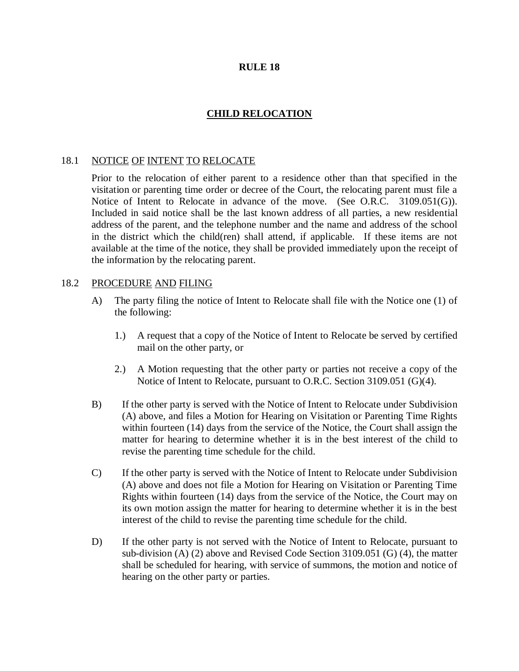## **CHILD RELOCATION**

## 18.1 NOTICE OF INTENT TO RELOCATE

Prior to the relocation of either parent to a residence other than that specified in the visitation or parenting time order or decree of the Court, the relocating parent must file a Notice of Intent to Relocate in advance of the move. (See O.R.C. 3109.051(G)). Included in said notice shall be the last known address of all parties, a new residential address of the parent, and the telephone number and the name and address of the school in the district which the child(ren) shall attend, if applicable. If these items are not available at the time of the notice, they shall be provided immediately upon the receipt of the information by the relocating parent.

#### 18.2 PROCEDURE AND FILING

- A) The party filing the notice of Intent to Relocate shall file with the Notice one (1) of the following:
	- 1.) A request that a copy of the Notice of Intent to Relocate be served by certified mail on the other party, or
	- 2.) A Motion requesting that the other party or parties not receive a copy of the Notice of Intent to Relocate, pursuant to O.R.C. Section 3109.051 (G)(4).
- B) If the other party is served with the Notice of Intent to Relocate under Subdivision (A) above, and files a Motion for Hearing on Visitation or Parenting Time Rights within fourteen (14) days from the service of the Notice, the Court shall assign the matter for hearing to determine whether it is in the best interest of the child to revise the parenting time schedule for the child.
- C) If the other party is served with the Notice of Intent to Relocate under Subdivision (A) above and does not file a Motion for Hearing on Visitation or Parenting Time Rights within fourteen (14) days from the service of the Notice, the Court may on its own motion assign the matter for hearing to determine whether it is in the best interest of the child to revise the parenting time schedule for the child.
- D) If the other party is not served with the Notice of Intent to Relocate, pursuant to sub-division (A) (2) above and Revised Code Section 3109.051 (G) (4), the matter shall be scheduled for hearing, with service of summons, the motion and notice of hearing on the other party or parties.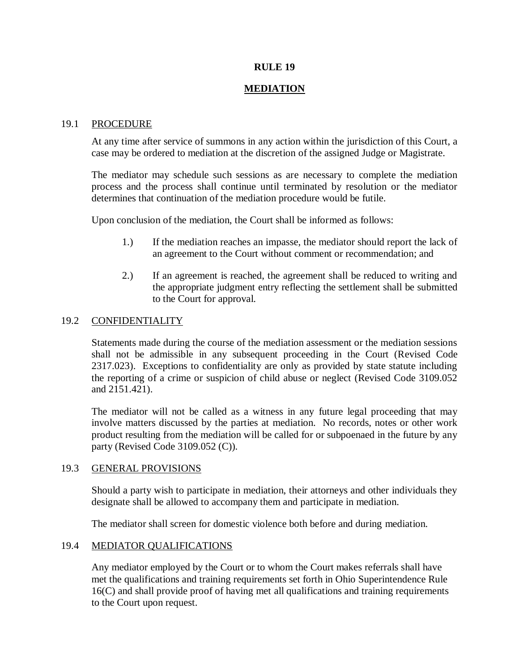## **MEDIATION**

#### 19.1 PROCEDURE

At any time after service of summons in any action within the jurisdiction of this Court, a case may be ordered to mediation at the discretion of the assigned Judge or Magistrate.

The mediator may schedule such sessions as are necessary to complete the mediation process and the process shall continue until terminated by resolution or the mediator determines that continuation of the mediation procedure would be futile.

Upon conclusion of the mediation, the Court shall be informed as follows:

- 1.) If the mediation reaches an impasse, the mediator should report the lack of an agreement to the Court without comment or recommendation; and
- 2.) If an agreement is reached, the agreement shall be reduced to writing and the appropriate judgment entry reflecting the settlement shall be submitted to the Court for approval.

## 19.2 CONFIDENTIALITY

Statements made during the course of the mediation assessment or the mediation sessions shall not be admissible in any subsequent proceeding in the Court (Revised Code 2317.023). Exceptions to confidentiality are only as provided by state statute including the reporting of a crime or suspicion of child abuse or neglect (Revised Code 3109.052 and 2151.421).

The mediator will not be called as a witness in any future legal proceeding that may involve matters discussed by the parties at mediation. No records, notes or other work product resulting from the mediation will be called for or subpoenaed in the future by any party (Revised Code 3109.052 (C)).

## 19.3 GENERAL PROVISIONS

Should a party wish to participate in mediation, their attorneys and other individuals they designate shall be allowed to accompany them and participate in mediation.

The mediator shall screen for domestic violence both before and during mediation.

## 19.4 MEDIATOR QUALIFICATIONS

Any mediator employed by the Court or to whom the Court makes referrals shall have met the qualifications and training requirements set forth in Ohio Superintendence Rule 16(C) and shall provide proof of having met all qualifications and training requirements to the Court upon request.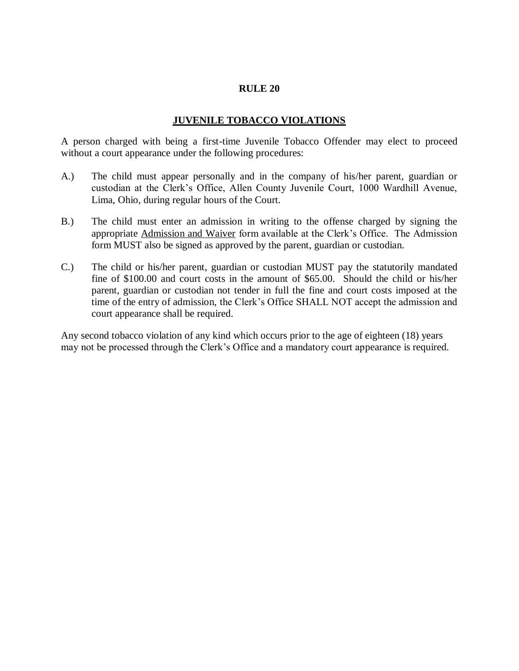#### **JUVENILE TOBACCO VIOLATIONS**

A person charged with being a first-time Juvenile Tobacco Offender may elect to proceed without a court appearance under the following procedures:

- A.) The child must appear personally and in the company of his/her parent, guardian or custodian at the Clerk's Office, Allen County Juvenile Court, 1000 Wardhill Avenue, Lima, Ohio, during regular hours of the Court.
- B.) The child must enter an admission in writing to the offense charged by signing the appropriate Admission and Waiver form available at the Clerk's Office. The Admission form MUST also be signed as approved by the parent, guardian or custodian.
- C.) The child or his/her parent, guardian or custodian MUST pay the statutorily mandated fine of \$100.00 and court costs in the amount of \$65.00. Should the child or his/her parent, guardian or custodian not tender in full the fine and court costs imposed at the time of the entry of admission, the Clerk's Office SHALL NOT accept the admission and court appearance shall be required.

Any second tobacco violation of any kind which occurs prior to the age of eighteen (18) years may not be processed through the Clerk's Office and a mandatory court appearance is required.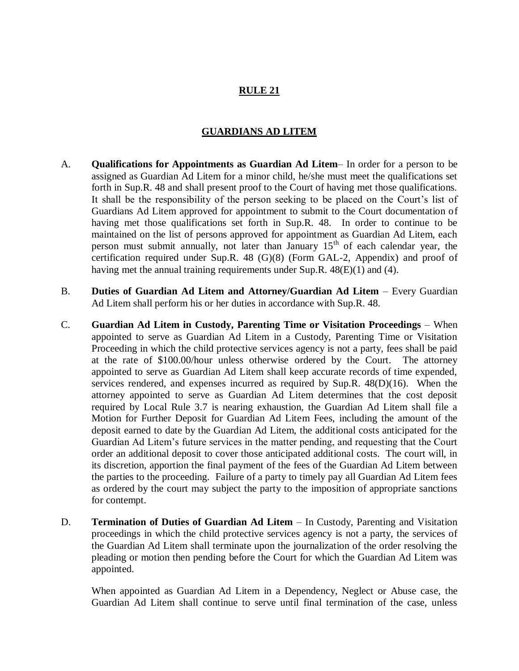## **GUARDIANS AD LITEM**

- A. **Qualifications for Appointments as Guardian Ad Litem** In order for a person to be assigned as Guardian Ad Litem for a minor child, he/she must meet the qualifications set forth in Sup.R. 48 and shall present proof to the Court of having met those qualifications. It shall be the responsibility of the person seeking to be placed on the Court's list of Guardians Ad Litem approved for appointment to submit to the Court documentation of having met those qualifications set forth in Sup.R. 48. In order to continue to be maintained on the list of persons approved for appointment as Guardian Ad Litem, each person must submit annually, not later than January  $15<sup>th</sup>$  of each calendar year, the certification required under Sup.R. 48 (G)(8) (Form GAL-2, Appendix) and proof of having met the annual training requirements under Sup.R. 48(E)(1) and (4).
- B. **Duties of Guardian Ad Litem and Attorney/Guardian Ad Litem** Every Guardian Ad Litem shall perform his or her duties in accordance with Sup.R. 48.
- C. **Guardian Ad Litem in Custody, Parenting Time or Visitation Proceedings** When appointed to serve as Guardian Ad Litem in a Custody, Parenting Time or Visitation Proceeding in which the child protective services agency is not a party, fees shall be paid at the rate of \$100.00/hour unless otherwise ordered by the Court. The attorney appointed to serve as Guardian Ad Litem shall keep accurate records of time expended, services rendered, and expenses incurred as required by Sup.R. 48(D)(16). When the attorney appointed to serve as Guardian Ad Litem determines that the cost deposit required by Local Rule 3.7 is nearing exhaustion, the Guardian Ad Litem shall file a Motion for Further Deposit for Guardian Ad Litem Fees, including the amount of the deposit earned to date by the Guardian Ad Litem, the additional costs anticipated for the Guardian Ad Litem's future services in the matter pending, and requesting that the Court order an additional deposit to cover those anticipated additional costs. The court will, in its discretion, apportion the final payment of the fees of the Guardian Ad Litem between the parties to the proceeding. Failure of a party to timely pay all Guardian Ad Litem fees as ordered by the court may subject the party to the imposition of appropriate sanctions for contempt.
- D. **Termination of Duties of Guardian Ad Litem** In Custody, Parenting and Visitation proceedings in which the child protective services agency is not a party, the services of the Guardian Ad Litem shall terminate upon the journalization of the order resolving the pleading or motion then pending before the Court for which the Guardian Ad Litem was appointed.

When appointed as Guardian Ad Litem in a Dependency, Neglect or Abuse case, the Guardian Ad Litem shall continue to serve until final termination of the case, unless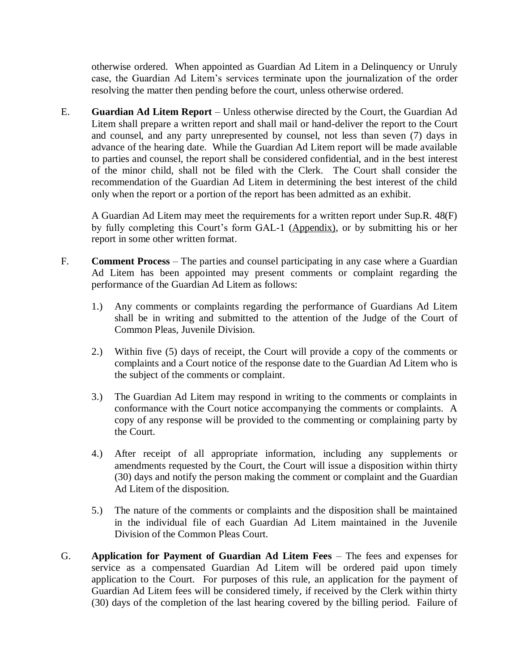otherwise ordered. When appointed as Guardian Ad Litem in a Delinquency or Unruly case, the Guardian Ad Litem's services terminate upon the journalization of the order resolving the matter then pending before the court, unless otherwise ordered.

E. **Guardian Ad Litem Report** – Unless otherwise directed by the Court, the Guardian Ad Litem shall prepare a written report and shall mail or hand-deliver the report to the Court and counsel, and any party unrepresented by counsel, not less than seven (7) days in advance of the hearing date. While the Guardian Ad Litem report will be made available to parties and counsel, the report shall be considered confidential, and in the best interest of the minor child, shall not be filed with the Clerk. The Court shall consider the recommendation of the Guardian Ad Litem in determining the best interest of the child only when the report or a portion of the report has been admitted as an exhibit.

A Guardian Ad Litem may meet the requirements for a written report under Sup.R. 48(F) by fully completing this Court's form GAL-1 (Appendix), or by submitting his or her report in some other written format.

- F. **Comment Process**  The parties and counsel participating in any case where a Guardian Ad Litem has been appointed may present comments or complaint regarding the performance of the Guardian Ad Litem as follows:
	- 1.) Any comments or complaints regarding the performance of Guardians Ad Litem shall be in writing and submitted to the attention of the Judge of the Court of Common Pleas, Juvenile Division.
	- 2.) Within five (5) days of receipt, the Court will provide a copy of the comments or complaints and a Court notice of the response date to the Guardian Ad Litem who is the subject of the comments or complaint.
	- 3.) The Guardian Ad Litem may respond in writing to the comments or complaints in conformance with the Court notice accompanying the comments or complaints. A copy of any response will be provided to the commenting or complaining party by the Court.
	- 4.) After receipt of all appropriate information, including any supplements or amendments requested by the Court, the Court will issue a disposition within thirty (30) days and notify the person making the comment or complaint and the Guardian Ad Litem of the disposition.
	- 5.) The nature of the comments or complaints and the disposition shall be maintained in the individual file of each Guardian Ad Litem maintained in the Juvenile Division of the Common Pleas Court.
- G. **Application for Payment of Guardian Ad Litem Fees** The fees and expenses for service as a compensated Guardian Ad Litem will be ordered paid upon timely application to the Court. For purposes of this rule, an application for the payment of Guardian Ad Litem fees will be considered timely, if received by the Clerk within thirty (30) days of the completion of the last hearing covered by the billing period. Failure of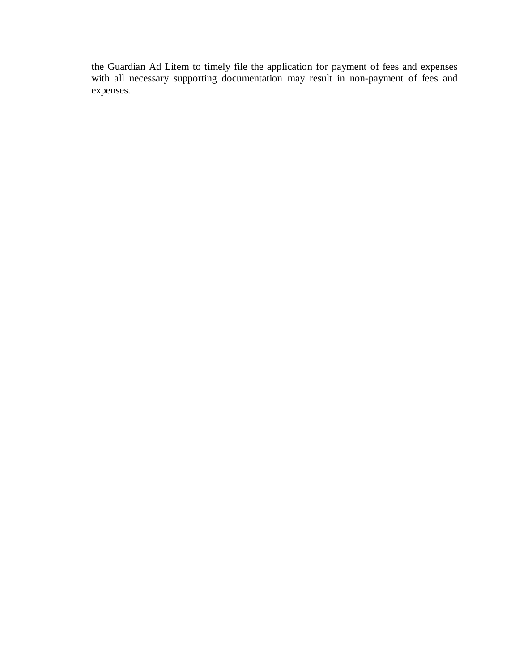the Guardian Ad Litem to timely file the application for payment of fees and expenses with all necessary supporting documentation may result in non-payment of fees and expenses.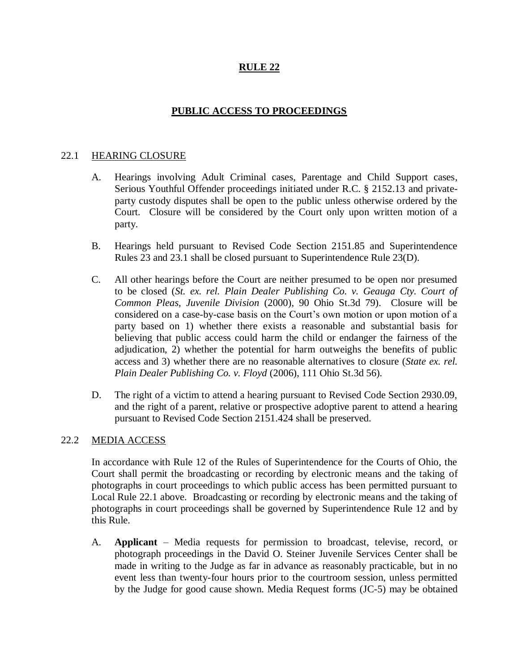## **PUBLIC ACCESS TO PROCEEDINGS**

## 22.1 HEARING CLOSURE

- A. Hearings involving Adult Criminal cases, Parentage and Child Support cases, Serious Youthful Offender proceedings initiated under R.C. § 2152.13 and privateparty custody disputes shall be open to the public unless otherwise ordered by the Court. Closure will be considered by the Court only upon written motion of a party.
- B. Hearings held pursuant to Revised Code Section 2151.85 and Superintendence Rules 23 and 23.1 shall be closed pursuant to Superintendence Rule 23(D).
- C. All other hearings before the Court are neither presumed to be open nor presumed to be closed (*St. ex. rel. Plain Dealer Publishing Co. v. Geauga Cty. Court of Common Pleas, Juvenile Division* (2000), 90 Ohio St.3d 79). Closure will be considered on a case-by-case basis on the Court's own motion or upon motion of a party based on 1) whether there exists a reasonable and substantial basis for believing that public access could harm the child or endanger the fairness of the adjudication, 2) whether the potential for harm outweighs the benefits of public access and 3) whether there are no reasonable alternatives to closure (*State ex. rel. Plain Dealer Publishing Co. v. Floyd* (2006), 111 Ohio St.3d 56).
- D. The right of a victim to attend a hearing pursuant to Revised Code Section 2930.09, and the right of a parent, relative or prospective adoptive parent to attend a hearing pursuant to Revised Code Section 2151.424 shall be preserved.

## 22.2 MEDIA ACCESS

In accordance with Rule 12 of the Rules of Superintendence for the Courts of Ohio, the Court shall permit the broadcasting or recording by electronic means and the taking of photographs in court proceedings to which public access has been permitted pursuant to Local Rule 22.1 above. Broadcasting or recording by electronic means and the taking of photographs in court proceedings shall be governed by Superintendence Rule 12 and by this Rule.

A. **Applicant** – Media requests for permission to broadcast, televise, record, or photograph proceedings in the David O. Steiner Juvenile Services Center shall be made in writing to the Judge as far in advance as reasonably practicable, but in no event less than twenty-four hours prior to the courtroom session, unless permitted by the Judge for good cause shown. Media Request forms (JC-5) may be obtained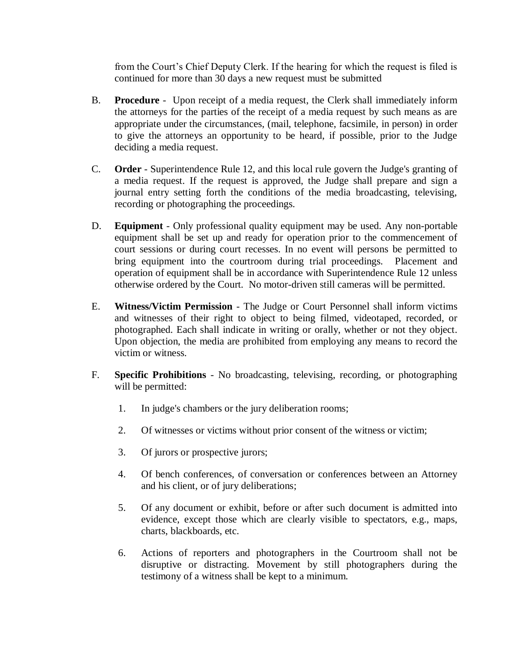from the Court's Chief Deputy Clerk. If the hearing for which the request is filed is continued for more than 30 days a new request must be submitted

- B. **Procedure** Upon receipt of a media request, the Clerk shall immediately inform the attorneys for the parties of the receipt of a media request by such means as are appropriate under the circumstances, (mail, telephone, facsimile, in person) in order to give the attorneys an opportunity to be heard, if possible, prior to the Judge deciding a media request.
- C. **Order** Superintendence Rule 12, and this local rule govern the Judge's granting of a media request. If the request is approved, the Judge shall prepare and sign a journal entry setting forth the conditions of the media broadcasting, televising, recording or photographing the proceedings.
- D. **Equipment** Only professional quality equipment may be used. Any non-portable equipment shall be set up and ready for operation prior to the commencement of court sessions or during court recesses. In no event will persons be permitted to bring equipment into the courtroom during trial proceedings. Placement and operation of equipment shall be in accordance with Superintendence Rule 12 unless otherwise ordered by the Court. No motor-driven still cameras will be permitted.
- E. **Witness/Victim Permission** The Judge or Court Personnel shall inform victims and witnesses of their right to object to being filmed, videotaped, recorded, or photographed. Each shall indicate in writing or orally, whether or not they object. Upon objection, the media are prohibited from employing any means to record the victim or witness.
- F. **Specific Prohibitions** No broadcasting, televising, recording, or photographing will be permitted:
	- 1. In judge's chambers or the jury deliberation rooms;
	- 2. Of witnesses or victims without prior consent of the witness or victim;
	- 3. Of jurors or prospective jurors;
	- 4. Of bench conferences, of conversation or conferences between an Attorney and his client, or of jury deliberations;
	- 5. Of any document or exhibit, before or after such document is admitted into evidence, except those which are clearly visible to spectators, e.g., maps, charts, blackboards, etc.
	- 6. Actions of reporters and photographers in the Courtroom shall not be disruptive or distracting. Movement by still photographers during the testimony of a witness shall be kept to a minimum.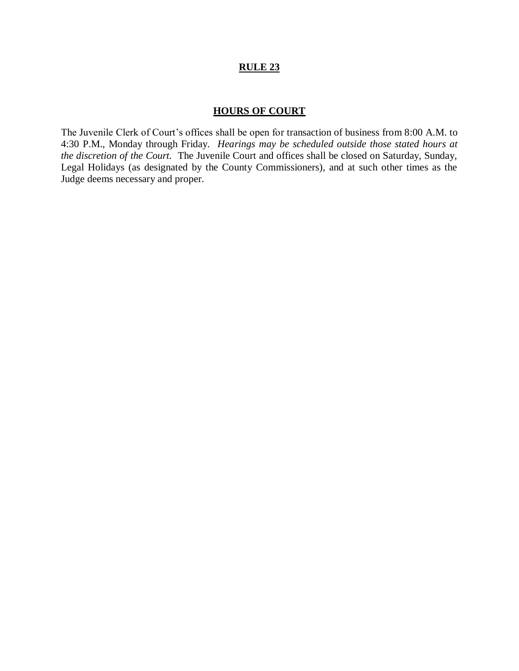#### **HOURS OF COURT**

The Juvenile Clerk of Court's offices shall be open for transaction of business from 8:00 A.M. to 4:30 P.M., Monday through Friday. *Hearings may be scheduled outside those stated hours at the discretion of the Court.* The Juvenile Court and offices shall be closed on Saturday, Sunday, Legal Holidays (as designated by the County Commissioners), and at such other times as the Judge deems necessary and proper.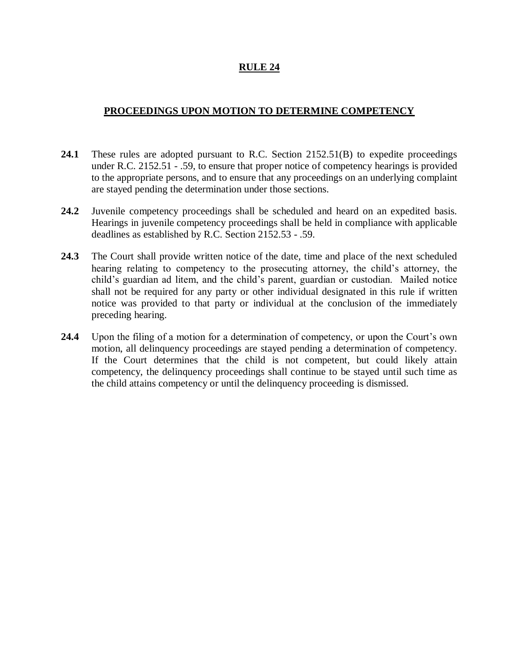## **PROCEEDINGS UPON MOTION TO DETERMINE COMPETENCY**

- **24.1** These rules are adopted pursuant to R.C. Section 2152.51(B) to expedite proceedings under R.C. 2152.51 - .59, to ensure that proper notice of competency hearings is provided to the appropriate persons, and to ensure that any proceedings on an underlying complaint are stayed pending the determination under those sections.
- **24.2** Juvenile competency proceedings shall be scheduled and heard on an expedited basis. Hearings in juvenile competency proceedings shall be held in compliance with applicable deadlines as established by R.C. Section 2152.53 - .59.
- **24.3** The Court shall provide written notice of the date, time and place of the next scheduled hearing relating to competency to the prosecuting attorney, the child's attorney, the child's guardian ad litem, and the child's parent, guardian or custodian. Mailed notice shall not be required for any party or other individual designated in this rule if written notice was provided to that party or individual at the conclusion of the immediately preceding hearing.
- **24.4** Upon the filing of a motion for a determination of competency, or upon the Court's own motion, all delinquency proceedings are stayed pending a determination of competency. If the Court determines that the child is not competent, but could likely attain competency, the delinquency proceedings shall continue to be stayed until such time as the child attains competency or until the delinquency proceeding is dismissed.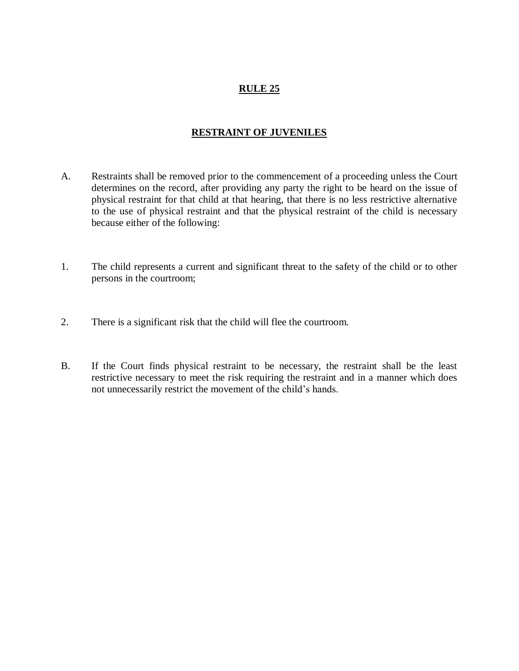# **RESTRAINT OF JUVENILES**

- A. Restraints shall be removed prior to the commencement of a proceeding unless the Court determines on the record, after providing any party the right to be heard on the issue of physical restraint for that child at that hearing, that there is no less restrictive alternative to the use of physical restraint and that the physical restraint of the child is necessary because either of the following:
- 1. The child represents a current and significant threat to the safety of the child or to other persons in the courtroom;
- 2. There is a significant risk that the child will flee the courtroom.
- B. If the Court finds physical restraint to be necessary, the restraint shall be the least restrictive necessary to meet the risk requiring the restraint and in a manner which does not unnecessarily restrict the movement of the child's hands.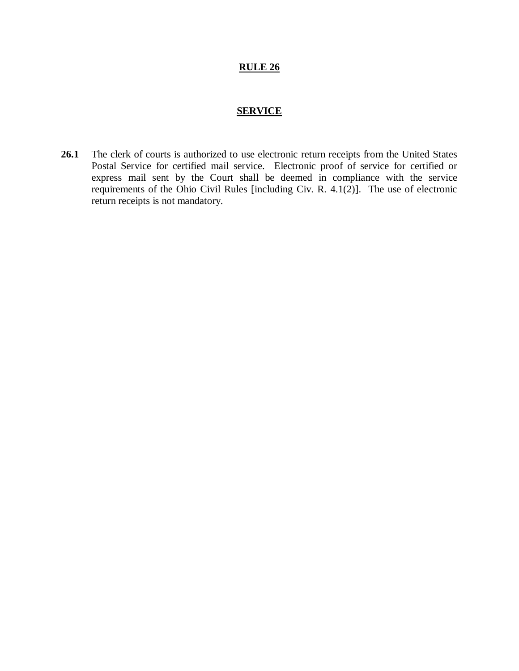#### **SERVICE**

26.1 The clerk of courts is authorized to use electronic return receipts from the United States Postal Service for certified mail service. Electronic proof of service for certified or express mail sent by the Court shall be deemed in compliance with the service requirements of the Ohio Civil Rules [including Civ. R. 4.1(2)]. The use of electronic return receipts is not mandatory.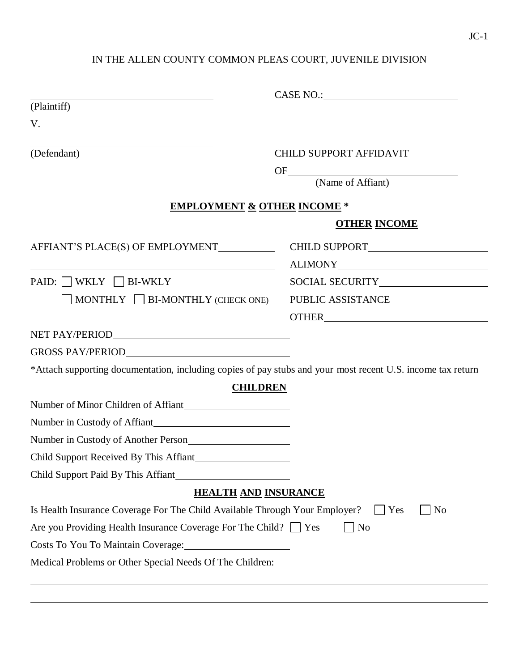# IN THE ALLEN COUNTY COMMON PLEAS COURT, JUVENILE DIVISION

| (Plaintiff)                                                                                                            |                             |
|------------------------------------------------------------------------------------------------------------------------|-----------------------------|
| V.                                                                                                                     |                             |
| (Defendant)                                                                                                            | CHILD SUPPORT AFFIDAVIT     |
|                                                                                                                        | OF (Name of Affiant)        |
|                                                                                                                        |                             |
| <b>EMPLOYMENT &amp; OTHER INCOME *</b>                                                                                 |                             |
|                                                                                                                        | <b>OTHER INCOME</b>         |
| AFFIANT'S PLACE(S) OF EMPLOYMENT___________                                                                            |                             |
| <u> 1989 - Johann Stoff, deutscher Stoffen und der Stoffen und der Stoffen und der Stoffen und der Stoffen und der</u> |                             |
| PAID: WKLY DBI-WKLY                                                                                                    |                             |
| MONTHLY $\Box$ BI-MONTHLY (CHECK ONE)                                                                                  | PUBLIC ASSISTANCE           |
|                                                                                                                        |                             |
|                                                                                                                        |                             |
|                                                                                                                        |                             |
| *Attach supporting documentation, including copies of pay stubs and your most recent U.S. income tax return            |                             |
| <b>CHILDREN</b>                                                                                                        |                             |
| Number of Minor Children of Affiant                                                                                    |                             |
|                                                                                                                        |                             |
| Number in Custody of Another Person                                                                                    |                             |
|                                                                                                                        |                             |
| Child Support Paid By This Affiant                                                                                     |                             |
| <b>HEALTH AND INSURANCE</b>                                                                                            |                             |
| Is Health Insurance Coverage For The Child Available Through Your Employer?                                            | $\Box$ No<br>$\Box$ Yes     |
| Are you Providing Health Insurance Coverage For The Child? $\Box$ Yes                                                  | $\overline{\phantom{a}}$ No |
|                                                                                                                        |                             |
|                                                                                                                        |                             |
|                                                                                                                        |                             |
|                                                                                                                        |                             |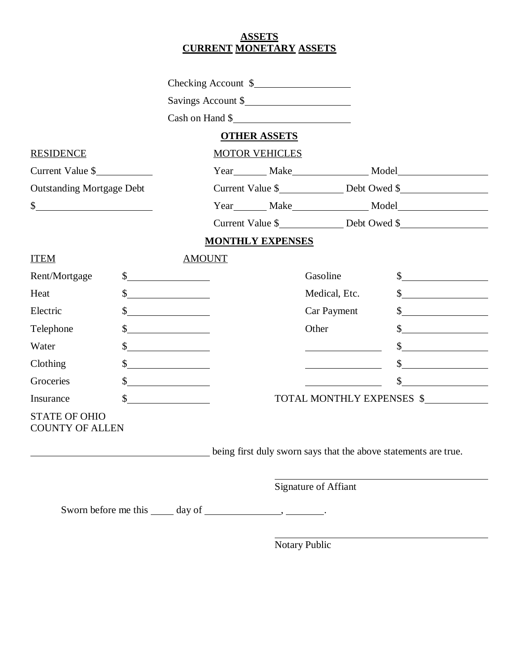## **ASSETS CURRENT MONETARY ASSETS**

|                                                |  |                             |                         | Checking Account \$                                             |                                                                                    |
|------------------------------------------------|--|-----------------------------|-------------------------|-----------------------------------------------------------------|------------------------------------------------------------------------------------|
|                                                |  |                             |                         | Savings Account \$                                              |                                                                                    |
|                                                |  |                             |                         | Cash on Hand \$                                                 |                                                                                    |
|                                                |  |                             | <b>OTHER ASSETS</b>     |                                                                 |                                                                                    |
| <b>RESIDENCE</b>                               |  |                             | <b>MOTOR VEHICLES</b>   |                                                                 |                                                                                    |
| Current Value \$                               |  |                             |                         |                                                                 | Year________ Make______________________ Model___________________________________   |
| <b>Outstanding Mortgage Debt</b>               |  |                             |                         |                                                                 | Current Value \$                                                                   |
| $\frac{1}{2}$                                  |  |                             |                         |                                                                 |                                                                                    |
|                                                |  |                             |                         |                                                                 | Current Value \$____________________ Debt Owed \$_________________________________ |
|                                                |  |                             | <b>MONTHLY EXPENSES</b> |                                                                 |                                                                                    |
| <b>ITEM</b>                                    |  | <b>AMOUNT</b>               |                         |                                                                 |                                                                                    |
| Rent/Mortgage                                  |  | $\frac{\text{S}}{\text{S}}$ |                         | Gasoline                                                        | $\sim$                                                                             |
| Heat                                           |  |                             |                         | Medical, Etc.                                                   | $\sim$                                                                             |
| Electric                                       |  | $\frac{\sqrt{2}}{2}$        |                         | Car Payment                                                     | $\frac{1}{2}$                                                                      |
| Telephone                                      |  | $\frac{\text{S}}{\text{S}}$ |                         | Other                                                           | $\int$                                                                             |
| Water                                          |  | $\sim$                      |                         |                                                                 | $\frac{1}{2}$                                                                      |
| Clothing                                       |  | $\sim$                      |                         |                                                                 | $\frac{1}{2}$                                                                      |
| Groceries                                      |  | $\frac{1}{2}$               |                         |                                                                 | $\frac{1}{2}$                                                                      |
| Insurance                                      |  |                             |                         |                                                                 | TOTAL MONTHLY EXPENSES \$                                                          |
| <b>STATE OF OHIO</b><br><b>COUNTY OF ALLEN</b> |  |                             |                         |                                                                 |                                                                                    |
|                                                |  |                             |                         | being first duly sworn says that the above statements are true. |                                                                                    |
|                                                |  |                             |                         | <b>Signature of Affiant</b>                                     |                                                                                    |
|                                                |  |                             |                         |                                                                 |                                                                                    |

Notary Public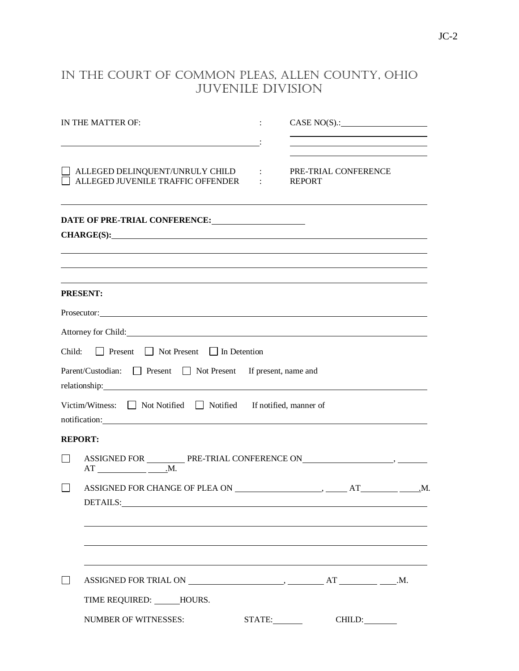# IN THE COURT OF COMMON PLEAS, ALLEN COUNTY, OHIO JUVENILE DIVISION

|        | IN THE MATTER OF:                                                                                                                                                                                                                                                                                                  | $1 - 1 - 1$ | CASE NO(S):<br><u> 1980 - Johann Barn, amerikan personal (h. 1980).</u> |  |
|--------|--------------------------------------------------------------------------------------------------------------------------------------------------------------------------------------------------------------------------------------------------------------------------------------------------------------------|-------------|-------------------------------------------------------------------------|--|
|        |                                                                                                                                                                                                                                                                                                                    |             |                                                                         |  |
|        | $\Box\,\,\mathrm{ALLEGED}\,\,\mathrm{DELINQUENT/UNRULY}\,\,\mathrm{CHILD}\qquad:\qquad \mathrm{PRE-TRIAL}\,\,\mathrm{CONFERENCE}$<br>$\Box$ ALLEGED JUVENILE TRAFFIC OFFENDER : REPORT                                                                                                                             |             |                                                                         |  |
|        | DATE OF PRE-TRIAL CONFERENCE:                                                                                                                                                                                                                                                                                      |             |                                                                         |  |
|        | CHARGE(S): New York CHARGE CONTROL CHARGE CONTROL CHARGE CONTROL CHARGE CONTROL CONTROL CONTROL CONTROL CONTROL CONTROL CONTROL CONTROL CONTROL CONTROL CONTROL CONTROL CONTROL CONTROL CONTROL CONTROL CONTROL CONTROL CONTRO<br>,我们也不会有什么。""我们的人,我们也不会有什么?""我们的人,我们也不会有什么?""我们的人,我们也不会有什么?""我们的人,我们也不会有什么?""我们的人 |             |                                                                         |  |
|        | <b>PRESENT:</b>                                                                                                                                                                                                                                                                                                    |             |                                                                         |  |
|        | Prosecutor: <u>Contractory Contractory Contractory</u>                                                                                                                                                                                                                                                             |             |                                                                         |  |
|        | Attorney for Child:                                                                                                                                                                                                                                                                                                |             |                                                                         |  |
|        | Child: $\Box$ Present $\Box$ Not Present $\Box$ In Detention                                                                                                                                                                                                                                                       |             |                                                                         |  |
|        | Parent/Custodian: Present Not Present If present, name and                                                                                                                                                                                                                                                         |             |                                                                         |  |
|        | Victim/Witness: Not Notified Notified If notified, manner of<br>notification: <b>contract of the contract of the contract of the contract of the contract of the contract of the contract of the contract of the contract of the contract of the contract of the contract of the contract of the</b>               |             |                                                                         |  |
|        | <b>REPORT:</b>                                                                                                                                                                                                                                                                                                     |             |                                                                         |  |
| $\Box$ | ASSIGNED FOR ____________ PRE-TRIAL CONFERENCE ON ________________________________                                                                                                                                                                                                                                 |             |                                                                         |  |
| $\Box$ | DETAILS: PHOTOS CONTRACT CONTRACT CONTRACT CONTRACT CONTRACT CONTRACT CONTRACT CONTRACT CONTRACT CONTRACT CONTRACT CONTRACT CONTRACT CONTRACT CONTRACT CONTRACT CONTRACT CONTRACT CONTRACT CONTRACT CONTRACT CONTRACT CONTRACT                                                                                     |             |                                                                         |  |
|        |                                                                                                                                                                                                                                                                                                                    |             |                                                                         |  |
|        |                                                                                                                                                                                                                                                                                                                    |             |                                                                         |  |
|        | TIME REQUIRED: HOURS.                                                                                                                                                                                                                                                                                              |             |                                                                         |  |
|        | <b>NUMBER OF WITNESSES:</b>                                                                                                                                                                                                                                                                                        |             | STATE:<br>CHILD:                                                        |  |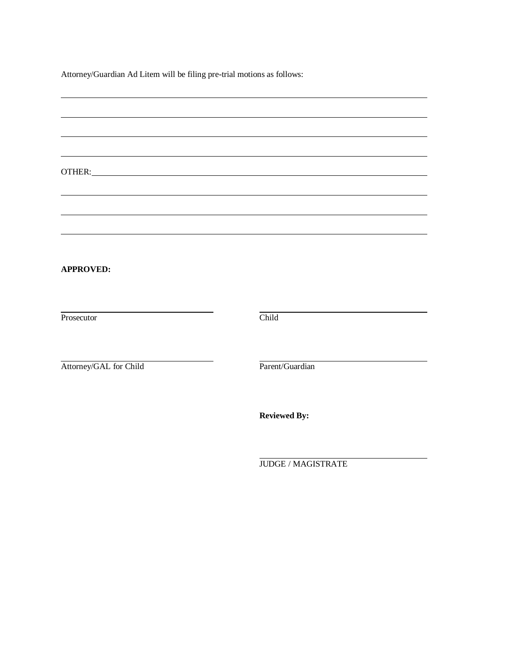Attorney/Guardian Ad Litem will be filing pre-trial motions as follows:

| <b>APPROVED:</b>       |                     |
|------------------------|---------------------|
| Prosecutor             | Child               |
|                        |                     |
| Attorney/GAL for Child | Parent/Guardian     |
|                        | <b>Reviewed By:</b> |
|                        | JUDGE / MAGISTRATE  |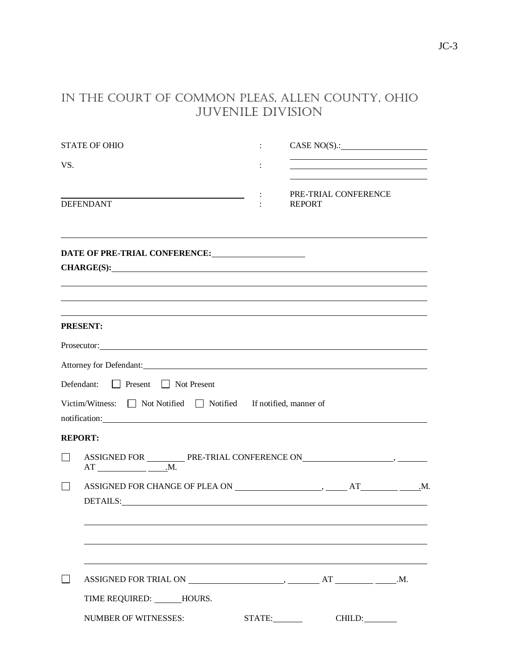# IN THE COURT OF COMMON PLEAS, ALLEN COUNTY, OHIO JUVENILE DIVISION

|        | <b>STATE OF OHIO</b>                                                                                                                                                                                                                                                                           | CASE NO(S):                           |  |
|--------|------------------------------------------------------------------------------------------------------------------------------------------------------------------------------------------------------------------------------------------------------------------------------------------------|---------------------------------------|--|
| VS.    |                                                                                                                                                                                                                                                                                                |                                       |  |
|        | DEFENDANT                                                                                                                                                                                                                                                                                      | PRE-TRIAL CONFERENCE<br><b>REPORT</b> |  |
|        | DATE OF PRE-TRIAL CONFERENCE:<br>CHARGE(S):                                                                                                                                                                                                                                                    |                                       |  |
|        |                                                                                                                                                                                                                                                                                                |                                       |  |
|        | <b>PRESENT:</b>                                                                                                                                                                                                                                                                                |                                       |  |
|        | Prosecutor: <u>Consecutor:</u> Consecutor: Consecutor: Consecutor: Consecutor: Consecutor: Consecutor: Consecutor: Consecutor: Consecutor: Consecutor: Consecutor: Consecutor: Consecutor: Consecutor: Consecutor: Consecutor: Cons                                                            |                                       |  |
|        | Attorney for Defendant: National Contract of the Contract of the Contract of the Contract of the Contract of the Contract of the Contract of the Contract of the Contract of the Contract of the Contract of the Contract of t                                                                 |                                       |  |
|        | Defendant: Present Not Present                                                                                                                                                                                                                                                                 |                                       |  |
|        | Victim/Witness: Not Notified Notified If notified, manner of<br>notification: explanation of the state of the state of the state of the state of the state of the state of the state of the state of the state of the state of the state of the state of the state of the state of the state o |                                       |  |
|        | <b>REPORT:</b>                                                                                                                                                                                                                                                                                 |                                       |  |
| $\Box$ | $AT$ $M.$                                                                                                                                                                                                                                                                                      |                                       |  |
| $\Box$ |                                                                                                                                                                                                                                                                                                |                                       |  |
|        |                                                                                                                                                                                                                                                                                                |                                       |  |
|        |                                                                                                                                                                                                                                                                                                |                                       |  |
|        | TIME REQUIRED: ______HOURS.                                                                                                                                                                                                                                                                    |                                       |  |
|        | <b>NUMBER OF WITNESSES:</b>                                                                                                                                                                                                                                                                    | STATE:<br>CHILD:                      |  |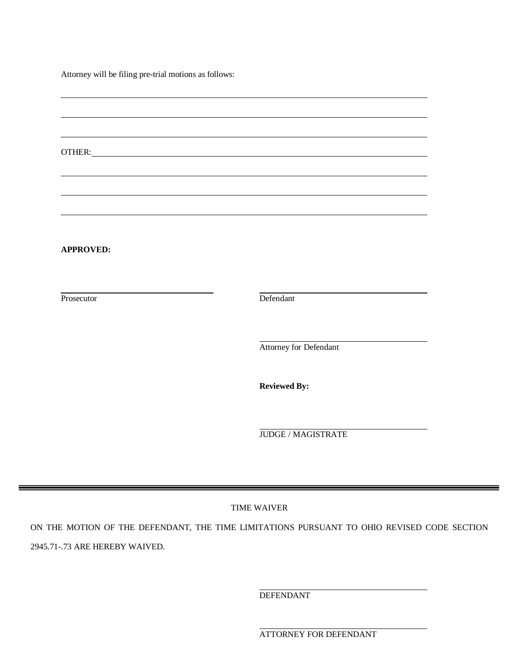Attorney will be filing pre-trial motions as follows:

| OTHER: <u>Andreas and the second contract of the second contract of the second contract of the second contract of</u> |                           |
|-----------------------------------------------------------------------------------------------------------------------|---------------------------|
|                                                                                                                       |                           |
|                                                                                                                       |                           |
|                                                                                                                       |                           |
| <b>APPROVED:</b>                                                                                                      |                           |
|                                                                                                                       |                           |
| Prosecutor                                                                                                            | Defendant                 |
|                                                                                                                       |                           |
|                                                                                                                       | Attorney for Defendant    |
|                                                                                                                       |                           |
|                                                                                                                       | <b>Reviewed By:</b>       |
|                                                                                                                       |                           |
|                                                                                                                       | <b>JUDGE / MAGISTRATE</b> |
|                                                                                                                       |                           |
|                                                                                                                       |                           |

ON THE MOTION OF THE DEFENDANT, THE TIME LIMITATIONS PURSUANT TO OHIO REVISED CODE SECTION 2945.71-.73 ARE HEREBY WAIVED.

DEFENDANT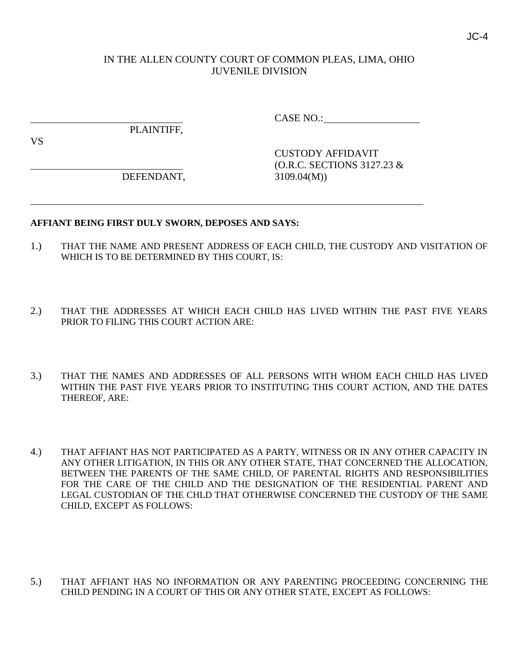## IN THE ALLEN COUNTY COURT OF COMMON PLEAS, LIMA, OHIO JUVENILE DIVISION

PLAINTIFF,

CASE NO.:

VS

DEFENDANT, 3109.04(M))

CUSTODY AFFIDAVIT (O.R.C. SECTIONS 3127.23 &

#### **AFFIANT BEING FIRST DULY SWORN, DEPOSES AND SAYS:**

- 1.) THAT THE NAME AND PRESENT ADDRESS OF EACH CHILD, THE CUSTODY AND VISITATION OF WHICH IS TO BE DETERMINED BY THIS COURT, IS:
- 2.) THAT THE ADDRESSES AT WHICH EACH CHILD HAS LIVED WITHIN THE PAST FIVE YEARS PRIOR TO FILING THIS COURT ACTION ARE:
- 3.) THAT THE NAMES AND ADDRESSES OF ALL PERSONS WITH WHOM EACH CHILD HAS LIVED WITHIN THE PAST FIVE YEARS PRIOR TO INSTITUTING THIS COURT ACTION, AND THE DATES THEREOF, ARE:
- 4.) THAT AFFIANT HAS NOT PARTICIPATED AS A PARTY, WITNESS OR IN ANY OTHER CAPACITY IN ANY OTHER LITIGATION, IN THIS OR ANY OTHER STATE, THAT CONCERNED THE ALLOCATION, BETWEEN THE PARENTS OF THE SAME CHILD, OF PARENTAL RIGHTS AND RESPONSIBILITIES FOR THE CARE OF THE CHILD AND THE DESIGNATION OF THE RESIDENTIAL PARENT AND LEGAL CUSTODIAN OF THE CHLD THAT OTHERWISE CONCERNED THE CUSTODY OF THE SAME CHILD, EXCEPT AS FOLLOWS:
- 5.) THAT AFFIANT HAS NO INFORMATION OR ANY PARENTING PROCEEDING CONCERNING THE CHILD PENDING IN A COURT OF THIS OR ANY OTHER STATE, EXCEPT AS FOLLOWS:

JC-4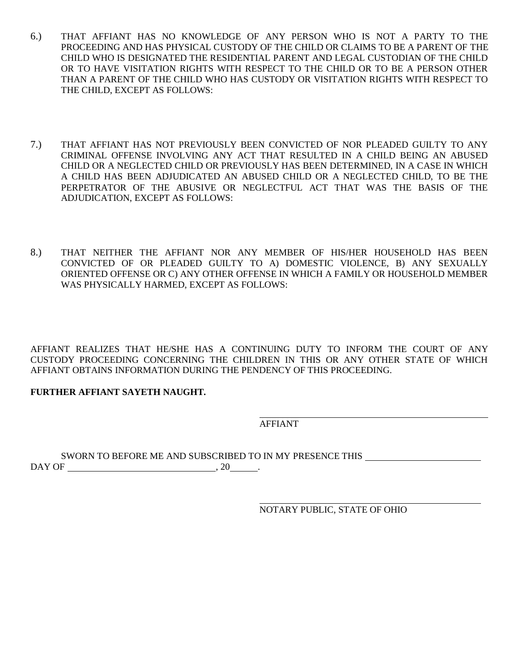- 6.) THAT AFFIANT HAS NO KNOWLEDGE OF ANY PERSON WHO IS NOT A PARTY TO THE PROCEEDING AND HAS PHYSICAL CUSTODY OF THE CHILD OR CLAIMS TO BE A PARENT OF THE CHILD WHO IS DESIGNATED THE RESIDENTIAL PARENT AND LEGAL CUSTODIAN OF THE CHILD OR TO HAVE VISITATION RIGHTS WITH RESPECT TO THE CHILD OR TO BE A PERSON OTHER THAN A PARENT OF THE CHILD WHO HAS CUSTODY OR VISITATION RIGHTS WITH RESPECT TO THE CHILD, EXCEPT AS FOLLOWS:
- 7.) THAT AFFIANT HAS NOT PREVIOUSLY BEEN CONVICTED OF NOR PLEADED GUILTY TO ANY CRIMINAL OFFENSE INVOLVING ANY ACT THAT RESULTED IN A CHILD BEING AN ABUSED CHILD OR A NEGLECTED CHILD OR PREVIOUSLY HAS BEEN DETERMINED, IN A CASE IN WHICH A CHILD HAS BEEN ADJUDICATED AN ABUSED CHILD OR A NEGLECTED CHILD, TO BE THE PERPETRATOR OF THE ABUSIVE OR NEGLECTFUL ACT THAT WAS THE BASIS OF THE ADJUDICATION, EXCEPT AS FOLLOWS:
- 8.) THAT NEITHER THE AFFIANT NOR ANY MEMBER OF HIS/HER HOUSEHOLD HAS BEEN CONVICTED OF OR PLEADED GUILTY TO A) DOMESTIC VIOLENCE, B) ANY SEXUALLY ORIENTED OFFENSE OR C) ANY OTHER OFFENSE IN WHICH A FAMILY OR HOUSEHOLD MEMBER WAS PHYSICALLY HARMED, EXCEPT AS FOLLOWS:

AFFIANT REALIZES THAT HE/SHE HAS A CONTINUING DUTY TO INFORM THE COURT OF ANY CUSTODY PROCEEDING CONCERNING THE CHILDREN IN THIS OR ANY OTHER STATE OF WHICH AFFIANT OBTAINS INFORMATION DURING THE PENDENCY OF THIS PROCEEDING.

# **FURTHER AFFIANT SAYETH NAUGHT.**

AFFIANT

SWORN TO BEFORE ME AND SUBSCRIBED TO IN MY PRESENCE THIS  $DAY$  OF  $\_\_\_\_\_\_\_\_\_\_\_\.\_20\_\_\_\_\.\_$ 

NOTARY PUBLIC, STATE OF OHIO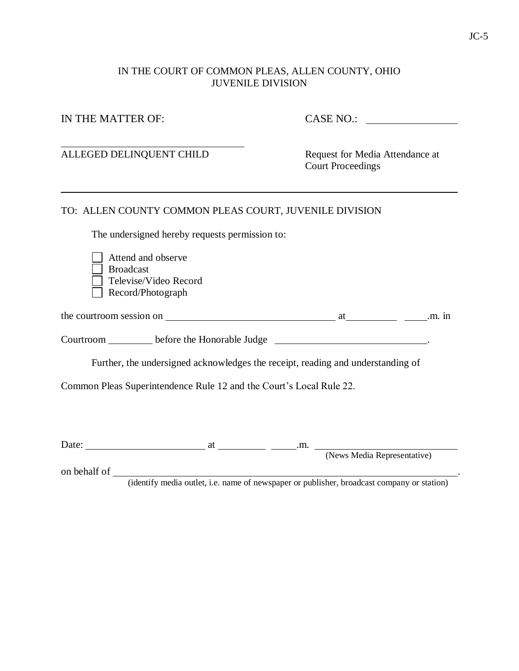# IN THE COURT OF COMMON PLEAS, ALLEN COUNTY, OHIO JUVENILE DIVISION

| IN THE MATTER OF:        |                                                                     | <b>CASE NO.:</b>                                                                 |  |  |
|--------------------------|---------------------------------------------------------------------|----------------------------------------------------------------------------------|--|--|
| ALLEGED DELINQUENT CHILD |                                                                     | Request for Media Attendance at<br><b>Court Proceedings</b>                      |  |  |
|                          |                                                                     | TO: ALLEN COUNTY COMMON PLEAS COURT, JUVENILE DIVISION                           |  |  |
|                          | The undersigned hereby requests permission to:                      |                                                                                  |  |  |
| <b>Broadcast</b>         | Attend and observe<br>Televise/Video Record<br>Record/Photograph    |                                                                                  |  |  |
|                          |                                                                     |                                                                                  |  |  |
|                          |                                                                     | Courtroom _________ before the Honorable Judge _________________________________ |  |  |
|                          |                                                                     | Further, the undersigned acknowledges the receipt, reading and understanding of  |  |  |
|                          | Common Pleas Superintendence Rule 12 and the Court's Local Rule 22. |                                                                                  |  |  |
|                          |                                                                     |                                                                                  |  |  |
|                          |                                                                     |                                                                                  |  |  |
|                          |                                                                     |                                                                                  |  |  |
|                          |                                                                     |                                                                                  |  |  |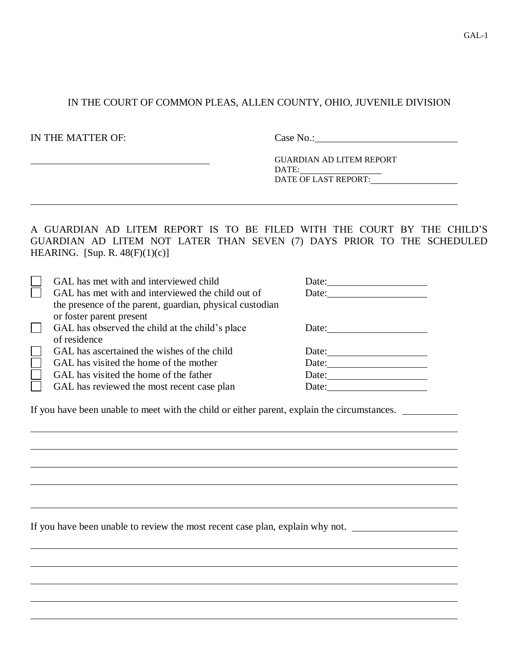# IN THE COURT OF COMMON PLEAS, ALLEN COUNTY, OHIO, JUVENILE DIVISION

IN THE MATTER OF: Case No.:

GUARDIAN AD LITEM REPORT DATE: DATE OF LAST REPORT:

# A GUARDIAN AD LITEM REPORT IS TO BE FILED WITH THE COURT BY THE CHILD'S GUARDIAN AD LITEM NOT LATER THAN SEVEN (7) DAYS PRIOR TO THE SCHEDULED HEARING. [Sup. R.  $48(F)(1)(c)$ ]

If you have been unable to meet with the child or either parent, explain the circumstances.

If you have been unable to review the most recent case plan, explain why not.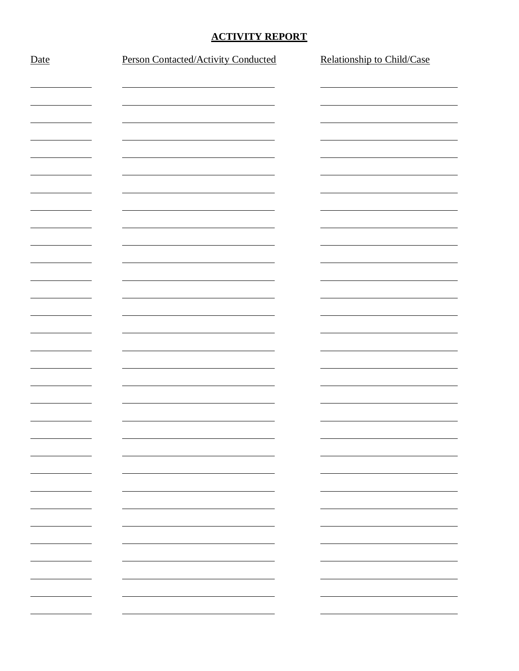## **ACTIVITY REPORT**

| Date                     | Person Contacted/Activity Conducted | Relationship to Child/Case |
|--------------------------|-------------------------------------|----------------------------|
|                          |                                     |                            |
|                          |                                     |                            |
|                          |                                     |                            |
|                          |                                     |                            |
|                          |                                     |                            |
|                          |                                     |                            |
|                          |                                     |                            |
|                          |                                     |                            |
|                          |                                     |                            |
|                          |                                     |                            |
|                          |                                     |                            |
|                          |                                     |                            |
|                          |                                     |                            |
|                          |                                     |                            |
|                          |                                     |                            |
|                          |                                     |                            |
|                          |                                     |                            |
|                          |                                     |                            |
|                          |                                     |                            |
|                          |                                     |                            |
|                          |                                     |                            |
|                          |                                     |                            |
|                          |                                     |                            |
| <u>—</u>                 |                                     | Ξ,                         |
| <u>—</u>                 |                                     | Ξ,                         |
|                          |                                     | $\overline{\phantom{0}}$   |
|                          |                                     |                            |
|                          |                                     |                            |
|                          |                                     |                            |
| $\overline{\phantom{0}}$ |                                     | $\overline{\phantom{0}}$   |
|                          |                                     |                            |
|                          |                                     |                            |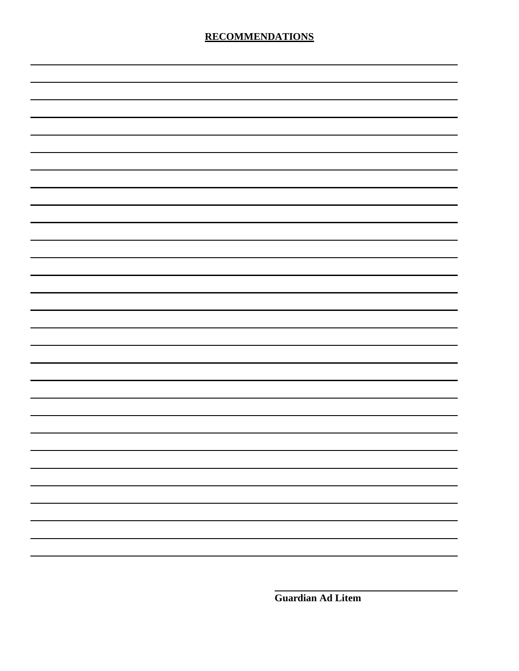**Guardian Ad Litem**